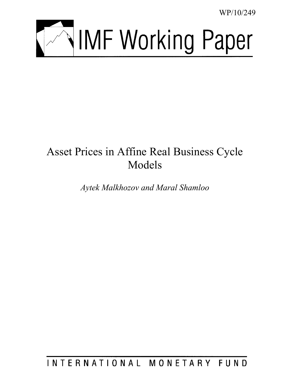WP/10/249



# Asset Prices in Affine Real Business Cycle Models

*Aytek Malkhozov and Maral Shamloo* 

INTERNATIONAL MONETARY FUND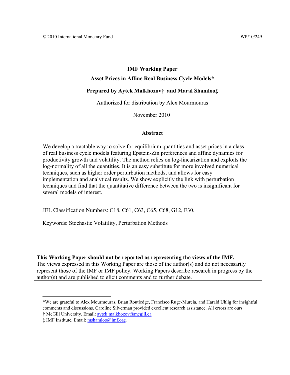# **IMF Working Paper Asset Prices in Affine Real Business Cycle Models\***

# **Prepared by Aytek Malkhozov† and Maral Shamloo‡**

Authorized for distribution by Alex Mourmouras

November 2010

# **Abstract**

We develop a tractable way to solve for equilibrium quantities and asset prices in a class of real business cycle models featuring Epstein-Zin preferences and affine dynamics for productivity growth and volatility. The method relies on log-linearization and exploits the log-normality of all the quantities. It is an easy substitute for more involved numerical techniques, such as higher order perturbation methods, and allows for easy implementation and analytical results. We show explicitly the link with perturbation techniques and find that the quantitative difference between the two is insignificant for several models of interest.

JEL Classification Numbers: C18, C61, C63, C65, C68, G12, E30.

Keywords: Stochastic Volatility, Perturbation Methods

**This Working Paper should not be reported as representing the views of the IMF.**  The views expressed in this Working Paper are those of the author(s) and do not necessarily represent those of the IMF or IMF policy. Working Papers describe research in progress by the author(s) and are published to elicit comments and to further debate.

 $\overline{a}$ 

<sup>\*</sup>We are grateful to Alex Mourmouras, Brian Routledge, Francisco Ruge-Murcia, and Harald Uhlig for insightful comments and discussions. Caroline Silverman provided excellent research assistance. All errors are ours.

<sup>†</sup> McGill University. Email: aytek.malkhozov@mcgill.ca

<sup>‡</sup> IMF Institute. Email: mshamloo@imf.org.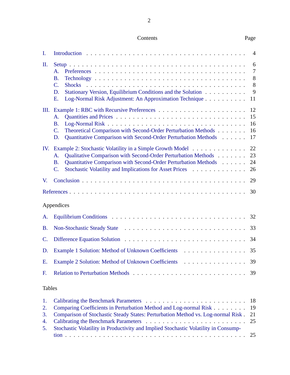| Contents | Page |
|----------|------|
|----------|------|

| Ι.                       |                                                                                                                                                                                                                                                                                               | $\overline{4}$              |
|--------------------------|-----------------------------------------------------------------------------------------------------------------------------------------------------------------------------------------------------------------------------------------------------------------------------------------------|-----------------------------|
| П.                       | $\mathsf{A}$ .<br><b>B.</b><br>$\mathbf{C}$ .<br><b>Shocks</b><br>Stationary Version, Equilibrium Conditions and the Solution<br>D.<br>Log-Normal Risk Adjustment: An Approximation Technique<br>Ε.                                                                                           | 6<br>7<br>8<br>8<br>9<br>11 |
| Ш.                       | A.<br><b>B.</b><br>Theoretical Comparison with Second-Order Perturbation Methods<br>$\mathbf{C}$ .<br>Quantitative Comparison with Second-Order Perturbation Methods<br>D.                                                                                                                    | 12<br>15<br>16<br>16<br>17  |
| IV.                      | Example 2: Stochastic Volatility in a Simple Growth Model<br>Qualitative Comparison with Second-Order Perturbation Methods<br>A.<br>Quantitative Comparison with Second-Order Perturbation Methods<br><b>B.</b><br>Stochastic Volatility and Implications for Asset Prices<br>$\mathcal{C}$ . | 22<br>23<br>24<br>26        |
| V.                       |                                                                                                                                                                                                                                                                                               | 29                          |
|                          |                                                                                                                                                                                                                                                                                               | 30                          |
|                          | Appendices                                                                                                                                                                                                                                                                                    |                             |
| A.                       |                                                                                                                                                                                                                                                                                               | 32                          |
| B.                       |                                                                                                                                                                                                                                                                                               | 33                          |
| $\mathcal{C}$ .          |                                                                                                                                                                                                                                                                                               |                             |
| D.                       | Example 1 Solution: Method of Unknown Coefficients                                                                                                                                                                                                                                            | 35                          |
| E.                       | Example 2 Solution: Method of Unknown Coefficients                                                                                                                                                                                                                                            | 39                          |
| F.                       |                                                                                                                                                                                                                                                                                               | 39                          |
| <b>Tables</b>            |                                                                                                                                                                                                                                                                                               |                             |
| 1.<br>2.<br>$\mathbf{R}$ | Comparing Coefficients in Perturbation Method and Log-normal Risk<br>Comparison of Stochastic Steady States: Perturbation Method vs. Log-pormal Risk                                                                                                                                          | 18<br>19<br>21              |

| $\sigma$ . Comparison of Stochastic Steady States. Perturbation Method vs. Log-hormal Kisk. $\angle$ 21 |  |
|---------------------------------------------------------------------------------------------------------|--|
|                                                                                                         |  |
| 5. Stochastic Volatility in Productivity and Implied Stochastic Volatility in Consump-                  |  |
|                                                                                                         |  |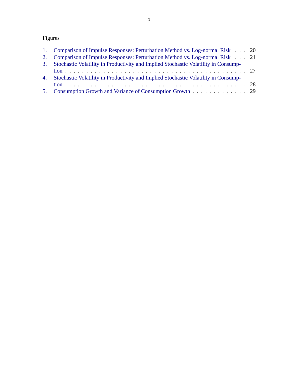# Figures

| 1. Comparison of Impulse Responses: Perturbation Method vs. Log-normal Risk 20         |  |
|----------------------------------------------------------------------------------------|--|
| 2. Comparison of Impulse Responses: Perturbation Method vs. Log-normal Risk 21         |  |
| 3. Stochastic Volatility in Productivity and Implied Stochastic Volatility in Consump- |  |
|                                                                                        |  |
| 4. Stochastic Volatility in Productivity and Implied Stochastic Volatility in Consump- |  |
|                                                                                        |  |
| 5. Consumption Growth and Variance of Consumption Growth 29                            |  |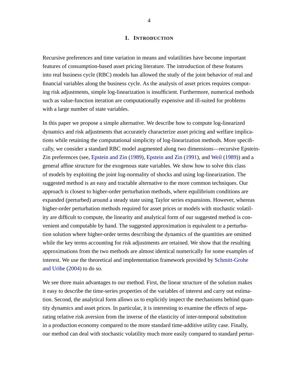#### **I. INTRODUCTION**

<span id="page-4-0"></span>Recursive preferences and time variation in means and volatilities have become important features of consumption-based asset pricing literature. The introduction of these features into real business cycle (RBC) models has allowed the study of the joint behavior of real and financial variables along the business cycle. As the analysis of asset prices requires computing risk adjustments, simple log-linearization is insufficient. Furthermore, numerical methods such as value-function iteration are computationally expensive and ill-suited for problems with a large number of state variables.

In this paper we propose a simple alternative. We describe how to compute log-linearized dynamics and risk adjustments that accurately characterize asset pricing and welfare implications while retaining the computational simplicity of log-linearization methods. More specifically, we consider a standard RBC model augmented along two dimensions—recursive Epstein-Zin preferences (see, [Epstein and Zin](#page-30-1) [\(1989\)](#page-30-1), [Epstein and Zin](#page-30-2) [\(1991\)](#page-30-2), and [Weil](#page-31-0) [\(1989\)](#page-31-0)) and a general affine structure for the exogenous state variables. We show how to solve this class of models by exploiting the joint log-normality of shocks and using log-linearization. The suggested method is an easy and tractable alternative to the more common techniques. Our approach is closest to higher-order perturbation methods, where equilibrium conditions are expanded (perturbed) around a steady state using Taylor series expansions. However, whereas higher-order perturbation methods required for asset prices or models with stochastic volatility are difficult to compute, the linearity and analytical form of our suggested method is convenient and computable by hand. The suggested approximation is equivalent to a perturbation solution where higher-order terms describing the dynamics of the quantities are omitted while the key terms accounting for risk adjustments are retained. We show that the resulting approximations from the two methods are almost identical numerically for some examples of interest. We use the theoretical and implementation framework provided by [Schmitt-Grohe](#page-31-1) [and Uribe](#page-31-1) [\(2004\)](#page-31-1) to do so.

We see three main advantages to our method. First, the linear structure of the solution makes it easy to describe the time-series properties of the variables of interest and carry out estimation. Second, the analytical form allows us to explicitly inspect the mechanisms behind quantity dynamics and asset prices. In particular, it is interesting to examine the effects of separating relative risk aversion from the inverse of the elasticity of inter-temporal substitution in a production economy compared to the more standard time-additive utility case. Finally, our method can deal with stochastic volatility much more easily compared to standard pertur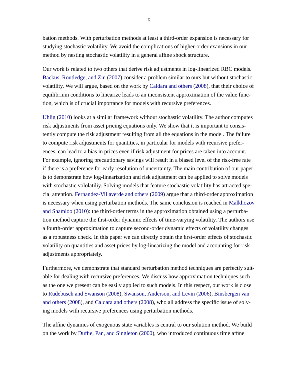bation methods. With perturbation methods at least a third-order expansion is necessary for studying stochastic volatility. We avoid the complications of higher-order exansions in our method by nesting stochastic volatility in a general affine shock structure.

Our work is related to two others that derive risk adjustments in log-linearized RBC models. [Backus, Routledge, and Zin](#page-30-3) [\(2007\)](#page-30-3) consider a problem similar to ours but without stochastic volatility. We will argue, based on the work by [Caldara and others](#page-30-4) [\(2008\)](#page-30-4), that their choice of equilibrium conditions to linearize leads to an inconsistent approximation of the value function, which is of crucial importance for models with recursive preferences.

[Uhlig](#page-31-2) [\(2010\)](#page-31-2) looks at a similar framework without stochastic volatility. The author computes risk adjustments from asset pricing equations only. We show that it is important to consistently compute the risk adjustment resulting from all the equations in the model. The failure to compute risk adjustments for quantities, in particular for models with recursive preferences, can lead to a bias in prices even if risk adjustment for prices are taken into account. For example, ignoring precautionary savings will result in a biased level of the risk-free rate if there is a preference for early resolution of uncertainty. The main contribution of our paper is to demonstrate how log-linearization and risk adjustment can be applied to solve models with stochastic vololatiliy. Solving models that feature stochastic volatility has attracted special attention. [Fernandez-Villaverde and others](#page-31-3) [\(2009\)](#page-31-3) argue that a third-order approximation is necessary when using perturbation methods. The same conclusion is reached in [Malkhozov](#page-31-4) [and Shamloo](#page-31-4) [\(2010\)](#page-31-4): the third-order terms in the approximation obtained using a perturbation method capture the first-order dynamic effects of time-varying volatility. The authors use a fourth-order approximation to capture second-order dynamic effects of volatility changes as a robustness check. In this paper we can directly obtain the first-order effects of stochastic volatility on quantities and asset prices by log-linearizing the model and accounting for risk adjustments appropriately.

Furthermore, we demonstrate that standard perturbation method techniques are perfectly suitable for dealing with recursive preferences. We discuss how approximation techniques such as the one we present can be easily applied to such models. In this respect, our work is close to [Rudebusch and Swanson](#page-31-5) [\(2008\)](#page-31-5), [Swanson, Anderson, and Levin](#page-31-6) [\(2006\)](#page-31-6), [Binsbergen van](#page-30-5) [and others](#page-30-5) [\(2008\)](#page-30-5), and [Caldara and others](#page-30-4) [\(2008\)](#page-30-4), who all address the specific issue of solving models with recursive preferences using perturbation methods.

The affine dynamics of exogenous state variables is central to our solution method. We build on the work by [Duffie, Pan, and Singleton](#page-30-6) [\(2000\)](#page-30-6), who introduced continuous time affine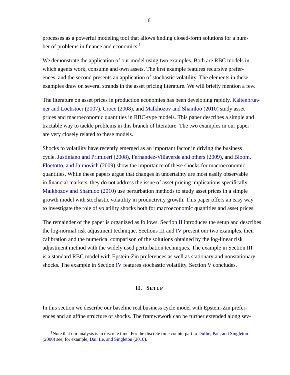processes as a powerful modeling tool that allows finding closed-form solutions for a num-ber of problems in finance and economics.<sup>[1](#page-6-1)</sup>

We demonstrate the application of our model using two examples. Both are RBC models in which agents work, consume and own assets. The first example features recursive preferences, and the second presents an application of stochastic volatility. The elements in these examples draw on several strands in the asset pricing literature. We will briefly mention a few.

The literature on asset prices in production economies has been developing rapidly. [Kaltenbrun](#page-31-7)[ner and Lochstoer](#page-31-7) [\(2007\)](#page-31-7), [Croce](#page-30-7) [\(2008\)](#page-30-7), and [Malkhozov and Shamloo](#page-31-4) [\(2010\)](#page-31-4) study asset prices and macroeconomic quantities in RBC-type models. This paper describes a simple and tractable way to tackle problems in this branch of literature. The two examples in our paper are very closely related to these models.

Shocks to volatility have recently emerged as an important factor in driving the business cycle. [Justiniano and Primiceri](#page-31-8) [\(2008\)](#page-31-8), [Fernandez-Villaverde and others](#page-31-3) [\(2009\)](#page-31-3), and [Bloom,](#page-30-8) [Floetotto, and Jaimovich](#page-30-8) [\(2009\)](#page-30-8) show the importance of these shocks for macroeconomic quantities. While these papers argue that changes in uncertainty are most easily observable in financial markets, they do not address the issue of asset pricing implications specifically. [Malkhozov and Shamloo](#page-31-4) [\(2010\)](#page-31-4) use perturbation methods to study asset prices in a simple growth model with stochastic volatility in productivity growth. This paper offers an easy way to investigate the role of volatility shocks both for macroeconomic quantities and asset prices.

The remainder of the paper is organized as follows. Section [II](#page-6-0) introduces the setup and describes the log-normal risk adjustment technique. Sections [III](#page-12-0) and [IV](#page-22-0) present our two examples, their calibration and the numerical comparison of the solutions obtained by the log-linear risk adjustment method with the widely used perturbation techniques. The example in Section III is a standard RBC model with Epstein-Zin preferences as well as stationary and nonstationary shocks. The example in Section [IV](#page-22-0) features stochastic volatility. Section V concludes.

#### **II. SETUP**

<span id="page-6-0"></span>In this section we describe our baseline real business cycle model with Epstein-Zin preferences and an affine structure of shocks. The framwework can be further extended along sev-

<span id="page-6-1"></span><sup>&</sup>lt;sup>1</sup>Note that our analysis is in discrete time. For the discrete time counterpart to [Duffie, Pan, and Singleton](#page-30-6) [\(2000\)](#page-30-6) see, for example, [Dai, Le, and Singleton](#page-30-9) [\(2010\)](#page-30-9).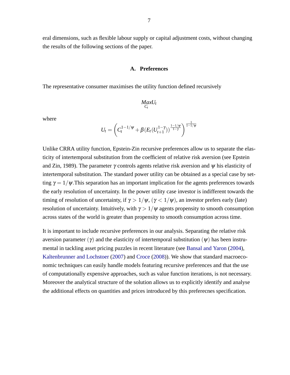<span id="page-7-0"></span>eral dimensions, such as flexible labour supply or capital adjustment costs, without changing the results of the following sections of the paper.

# **A. Preferences**

The representative consumer maximises the utility function defined recursively

$$
\underset{C_t}{MaxU_t}
$$

where

$$
U_t = \left( C_t^{1-1/\psi} + \beta (E_t (U_{t+1}^{1-\gamma}))^{\frac{1-1/\psi}{1-\gamma}} \right)^{\frac{1}{1-1/\psi}}
$$

1

Unlike CRRA utility function, Epstein-Zin recursive preferences allow us to separate the elasticity of intertemporal substitution from the coefficient of relative risk aversion (see Epstein and Zin, 1989). The parameter  $\gamma$  controls agents relative risk aversion and  $\psi$  his elasticity of intertemporal substitution. The standard power utility can be obtained as a special case by setting  $\gamma = 1/\psi$ . This separation has an important implication for the agents preferences towards the early resolution of uncertainty. In the power utility case investor is indifferent towards the timing of resolution of uncertainty, if  $\gamma > 1/\psi$ ,  $(\gamma < 1/\psi)$ , an investor prefers early (late) resolution of uncertainty. Intuitively, with  $\gamma > 1/\psi$  agents propensity to smooth consumption across states of the world is greater than propensity to smooth consumption across time.

It is important to include recursive preferences in our analysis. Separating the relative risk aversion parameter  $(\gamma)$  and the elasticity of intertemporal substitution  $(\psi)$  has been instrumental in tackling asset pricing puzzles in recent literature (see [Bansal and Yaron](#page-30-10) [\(2004\)](#page-30-10), [Kaltenbrunner and Lochstoer](#page-31-7) [\(2007\)](#page-31-7) and [Croce](#page-30-7) [\(2008\)](#page-30-7)). We show that standard macroeconomic techniques can easily handle models featuring recursive preferences and that the use of computationally expensive approaches, such as value function iterations, is not necessary. Moreover the analytical structure of the solution allows us to explicitly identify and analyse the additional effects on quantities and prices introduced by this preferecnes specification.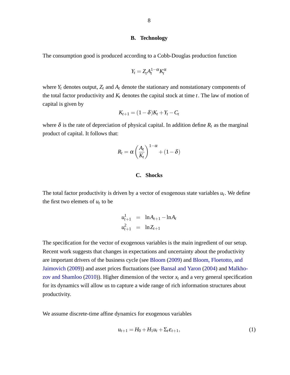#### **B. Technology**

<span id="page-8-0"></span>The consumption good is produced according to a Cobb-Douglas production function

$$
Y_t = Z_t A_t^{1-\alpha} K_t^{\alpha}
$$

where  $Y_t$  denotes output,  $Z_t$  and  $A_t$  denote the stationary and nonstationary components of the total factor productivity and  $K_t$  denotes the capital stock at time  $t$ . The law of motion of capital is given by

$$
K_{t+1}=(1-\delta)K_t+Y_t-C_t
$$

where  $\delta$  is the rate of depreciation of physical capital. In addition define  $R_t$  as the marginal product of capital. It follows that:

$$
R_t = \alpha \left(\frac{A_t}{K_t}\right)^{1-\alpha} + (1-\delta)
$$

# **C. Shocks**

<span id="page-8-1"></span>The total factor productivity is driven by a vector of exogenous state variables  $u_t$ . We define the first two elemets of  $u_t$  to be

$$
u_{t+1}^{1} = \ln A_{t+1} - \ln A_{t}
$$
  

$$
u_{t+1}^{2} = \ln Z_{t+1}
$$

The specification for the vector of exogenous variables is the main ingredient of our setup. Recent work suggests that changes in expectations and uncertainty about the productivity are important drivers of the business cycle (see [Bloom](#page-30-11) [\(2009\)](#page-30-11) and [Bloom, Floetotto, and](#page-30-8) [Jaimovich](#page-30-8) [\(2009\)](#page-30-8)) and asset prices fluctuations (see [Bansal and Yaron](#page-30-10) [\(2004\)](#page-30-10) and [Malkho](#page-31-4)[zov and Shamloo](#page-31-4) [\(2010\)](#page-31-4)). Higher dimension of the vector  $x_t$  and a very general specification for its dynamics will allow us to capture a wide range of rich information structures about productivity.

We assume discrete-time affine dynamics for exogenous variables

<span id="page-8-2"></span>
$$
u_{t+1} = H_0 + H_1 u_t + \Sigma_t \varepsilon_{t+1},\tag{1}
$$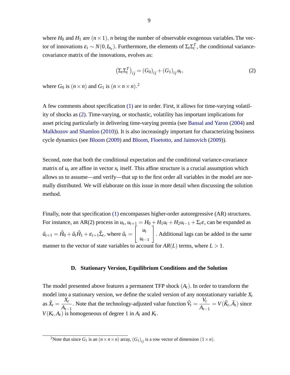where  $H_0$  and  $H_1$  are  $(n \times 1)$ , *n* being the number of observable exogenous variables. The vector of innovations  $\varepsilon_t \sim N(0, I_{n_{\varepsilon}})$ . Furthermore, the elements of  $\Sigma_t \Sigma_t^T$ , the conditional variancecovariance matrix of the innovations, evolves as:

<span id="page-9-2"></span>
$$
\left(\Sigma_t \Sigma_t^T\right)_{ij} = \left(G_0\right)_{ij} + \left(G_1\right)_{ij} u_t,\tag{2}
$$

where  $G_0$  is  $(n \times n)$  and  $G_1$  is  $(n \times n \times n)$ .<sup>[2](#page-9-1)</sup>

A few comments about specification [\(1\)](#page-8-2) are in order. First, it allows for time-varying volatility of shocks as [\(2\).](#page-9-2) Time-varying, or stochastic, volatility has important implications for asset pricing particularly in delivering time-varying premia (see [Bansal and Yaron](#page-30-10) [\(2004\)](#page-30-10) and [Malkhozov and Shamloo](#page-31-4) [\(2010\)](#page-31-4)). It is also increasingly important for characterizing business cycle dynamics (see [Bloom](#page-30-11) [\(2009\)](#page-30-11) and [Bloom, Floetotto, and Jaimovich](#page-30-8) [\(2009\)](#page-30-8)).

Second, note that both the conditional expectation and the conditional variance-covariance matrix of  $u_t$  are affine in vector  $x_t$  itself. This affine structure is a crucial assumption which allows us to assume—and verify—that up to the first order all variables in the model are normally distributed. We will elaborate on this issue in more detail when discussing the solution method.

Finally, note that specification [\(1\)](#page-8-2) encompasses higher-order autoregressive (AR) structures. For instance, an AR(2) process in  $u_t$ ,  $u_{t+1} = H_0 + H_1u_t + H_2u_{t-1} + \Sigma_t \varepsilon$ , can be expanded as  $\hat{u}_{t+1} = \hat{H}_0 + \hat{u}_t \hat{H}_1 + \varepsilon_{t+1} \hat{\Sigma}_t$ , where  $\hat{u}_t =$  $\int u_t$  $u_{t-1}$ 1 : Additional lags can be added in the same manner to the vector of state variables to account for  $AR(L)$  terms, where  $L > 1$ .

# **D. Stationary Version, Equilibrium Conditions and the Solution**

<span id="page-9-0"></span>The model presented above features a permanent TFP shock (*At*). In order to transform the model into a stationary version, we define the scaled version of any nonstationary variable *X<sup>t</sup>* as  $\tilde{X}_t =$ *Xt*  $A_{t-1}$ . Note that the technology-adjusted value function  $\tilde{V}_t$  = *Vt*  $A_{t-1}$  $= V(\tilde{K}_t, \tilde{A}_t)$  since  $V(K_t, A_t)$  is homogeneous of degree 1 in  $A_t$  and  $K_t$ :

<span id="page-9-1"></span><sup>&</sup>lt;sup>2</sup>Note that since  $G_1$  is an  $(n \times n \times n)$  array,  $(G_1)_{ij}$  is a row vector of dimension  $(1 \times n)$ .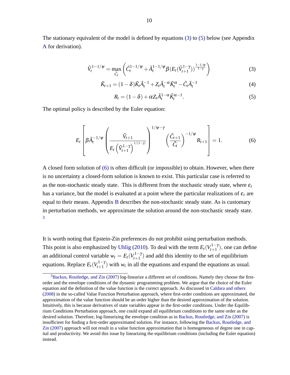The stationary equivalent of the model is defined by equations [\(3\)](#page-10-0) to [\(5\)](#page-10-1) below (see Appendix [A](#page-32-0) for derivation).

<span id="page-10-0"></span>
$$
\tilde{V}_t^{1-1/\psi} = \max_{\tilde{C}_t} \left( \tilde{C}_t^{1-1/\psi} + \tilde{A}_t^{1-1/\psi} \beta \left( E_t(\tilde{V}_{t+1}^{1-\gamma}) \right)^{\frac{1-1/\psi}{1-\gamma}} \right) \tag{3}
$$

$$
\tilde{K}_{t+1} = (1 - \delta)\tilde{K}_t\tilde{A}_t^{-1} + Z_t\tilde{A}_t^{-\alpha}\tilde{K}_t^{\alpha} - \tilde{C}_t\tilde{A}_t^{-1}
$$
\n
$$
\tag{4}
$$

<span id="page-10-1"></span>
$$
R_t = (1 - \delta) + \alpha Z_t \tilde{A}_t^{1 - \alpha} \tilde{K}_t^{\alpha - 1}.
$$
\n
$$
(5)
$$

The optimal policy is described by the Euler equation:

<span id="page-10-2"></span>
$$
E_t\left[\beta \tilde{A}_t^{-1/\psi}\left(\frac{\tilde{V}_{t+1}}{E_t\left(\tilde{V}_{t+1}^{1-\gamma}\right)^{1/(1-\gamma)}}\right)^{1/\psi-\gamma}\left(\frac{\tilde{C}_{t+1}}{\tilde{C}_t}\right)^{-1/\psi}R_{t+1}\right] = 1.
$$
 (6)

A closed form solution of [\(6\)](#page-10-2) is often difficult (or impossible) to obtain. However, when there is no uncertainty a closed-form solution is known to exist. This particular case is referred to as the non-stochastic steady state. This is different from the stochastic steady state, where  $\varepsilon_t$ has a variance, but the model is evaluated at a point where the particular realizations of  $\varepsilon_t$  are equal to their means. Appendix [B](#page-33-0) describes the non-stochastic steady state. As is customary in perturbation methods, we approximate the solution around the non-stochastic steady state. [3](#page-10-3)

It is worth noting that Epstein-Zin preferences do not prohibit using perturbation methods. This point is also emphasized by [Uhlig](#page-31-2) [\(2010\)](#page-31-2). To deal with the term  $E_t(V_{t+1}^{1-\gamma})$ , one can define an additional control variable  $w_t = E_t(V_{t+1}^{1-\gamma})$  and add this identity to the set of equilibrium equations. Replace  $E_t(V_{t+1}^{1-\gamma})$  with  $w_t$  in all the equations and expand the equations as usual.

<span id="page-10-3"></span><sup>&</sup>lt;sup>3</sup>[Backus, Routledge, and Zin](#page-30-3) [\(2007\)](#page-30-3) log-linearize a different set of conditions. Namely they choose the firstorder and the envelope conditions of the dynamic programming problem. We argue that the choice of the Euler equation and the definition of the value function is the correct approach. As discussed in [Caldara and others](#page-30-4) [\(2008\)](#page-30-4) in the so-called Value Function Perturbation approach, where first-order conditions are approximated, the approximation of the value function should be an order higher than the desired approximation of the solution. Intuitively, this is because derivatives of state variables appear in the first-order conditions. Under the Equilibrium Conditions Perturbation approach, one could expand all equilibrium conditions to the same order as the desired solution. Therefore, log-linearizing the envelope condition as in [Backus, Routledge, and Zin](#page-30-3) [\(2007\)](#page-30-3) is insufficient for finding a first-order approximated solution. For instance, following the [Backus, Routledge, and](#page-30-3) [Zin](#page-30-3) [\(2007\)](#page-30-3) approach will not result in a value function approximation that is homogeneous of degree one in capital and productivity. We avoid this issue by linearizing the equilibrium conditions (including the Euler equation) instead.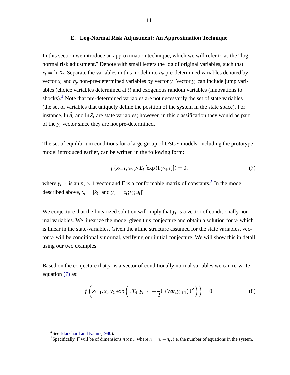# **E. Log-Normal Risk Adjustment: An Approximation Technique**

<span id="page-11-0"></span>In this section we introduce an approximation technique, which we will refer to as the "lognormal risk adjustment." Denote with small letters the log of original variables, such that  $x_t = \ln X_t$ . Separate the variables in this model into  $n_x$  pre-determined variables denoted by vector  $x_t$  and  $n_y$  non-pre-determined variables by vector  $y_t$ . Vector  $y_t$  can include jump variables (choice variables determined at *t*) and exogenous random variables (innovations to shocks).[4](#page-11-1) Note that pre-determined variables are not necessarily the set of state variables (the set of variables that uniquely define the position of the system in the state space). For instance,  $\ln \tilde{A}_t$  and  $\ln Z_t$  are state variables; however, in this classification they would be part of the *y<sup>t</sup>* vector since they are not pre-determined.

The set of equilibrium conditions for a large group of DSGE models, including the prototype model introduced earlier, can be written in the following form:

<span id="page-11-3"></span>
$$
f(x_{t+1}, x_t, y_t, E_t [\exp(\Gamma y_{t+1})]) = 0,
$$
\n(7)

where  $y_{t+1}$  is an  $n_y \times 1$  vector and  $\Gamma$  is a conformable matrix of constants.<sup>[5](#page-11-2)</sup> In the model described above,  $x_t = [k_t]$  and  $y_t = [c_t; v_t; u_t]'$ .

We conjecture that the linearized solution will imply that  $y_t$  is a vector of conditionally normal variables. We linearize the model given this conjecture and obtain a solution for  $y_t$  which is linear in the state-variables. Given the affine structure assumed for the state variables, vector *y<sup>t</sup>* will be conditionally normal, verifying our initial conjecture. We will show this in detail using our two examples.

Based on the conjecture that  $y_t$  is a vector of conditionally normal variables we can re-write equation [\(7\)](#page-11-3) as:

<span id="page-11-4"></span>
$$
f\left(x_{t+1},x_t,y_t,\exp\left(\Gamma E_t\left[y_{t+1}\right]+\frac{1}{2}\Gamma\left(Var_ty_{t+1}\right)\Gamma'\right)\right)=0.\tag{8}
$$

<span id="page-11-1"></span><sup>4</sup>See [Blanchard and Kahn](#page-30-12) [\(1980\)](#page-30-12).

<span id="page-11-2"></span><sup>&</sup>lt;sup>5</sup>Specifically,  $\Gamma$  will be of dimensions  $n \times n_y$ , where  $n = n_x + n_y$ , i.e. the number of equations in the system.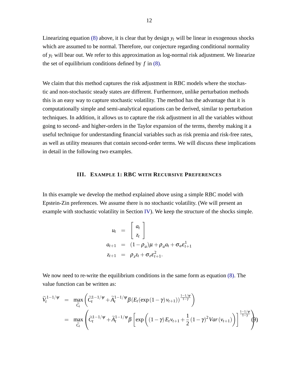Linearizing equation [\(8\)](#page-11-4) above, it is clear that by design  $y_t$  will be linear in exogenous shocks which are assumed to be normal. Therefore, our conjecture regarding conditional normality of *y<sup>t</sup>* will bear out. We refer to this approximation as log-normal risk adjustment. We linearize the set of equilibrium conditions defined by *f* in [\(8\).](#page-11-4)

We claim that this method captures the risk adjustment in RBC models where the stochastic and non-stochastic steady states are different. Furthermore, unlike perturbation methods this is an easy way to capture stochastic volatility. The method has the advantage that it is computationally simple and semi-analytical equations can be derived, similar to perturbation techniques. In addition, it allows us to capture the risk adjustment in all the variables without going to second- and higher-orders in the Taylor expansion of the terms, thereby making it a useful technique for understanding financial variables such as risk premia and risk-free rates, as well as utility measures that contain second-order terms. We will discuss these implications in detail in the following two examples.

# **III. EXAMPLE 1: RBC WITH RECURSIVE PREFERENCES**

<span id="page-12-0"></span>In this example we develop the method explained above using a simple RBC model with Epstein-Zin preferences. We assume there is no stochastic volatility. (We will present an example with stochastic volatility in Section [IV\)](#page-22-0). We keep the structure of the shocks simple.

$$
u_t = \begin{bmatrix} a_t \\ z_t \end{bmatrix}
$$
  
\n
$$
a_{t+1} = (1 - \rho_a)\mu + \rho_a a_t + \sigma_a \varepsilon_{t+1}^1
$$
  
\n
$$
z_{t+1} = \rho_z z_t + \sigma_z \varepsilon_{t+1}^2.
$$

We now need to re-write the equilibrium conditions in the same form as equation [\(8\).](#page-11-4) The value function can be written as:

<span id="page-12-1"></span>
$$
\widetilde{V}_{t}^{1-1/\psi} = \max_{\widetilde{C}_{t}} \left( \widetilde{C}_{t}^{1-1/\psi} + \widetilde{A}_{t}^{1-1/\psi} \beta (E_{t}(\exp(1-\gamma)v_{t+1}))^{\frac{1-1/\psi}{1-\gamma}} \right)
$$
\n
$$
= \max_{\widetilde{C}_{t}} \left( \widetilde{C}_{t}^{1-1/\psi} + \widetilde{A}_{t}^{1-1/\psi} \beta \left[ \exp\left( (1-\gamma) E_{t} v_{t+1} + \frac{1}{2} (1-\gamma)^{2} Var(v_{t+1}) \right) \right]^{\frac{1-1/\psi}{1-\gamma}} \right)
$$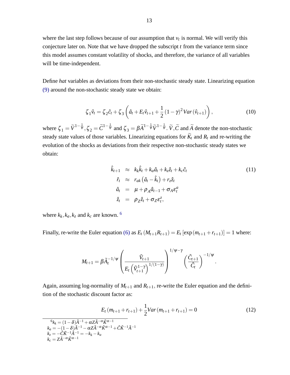where the last step follows because of our assumption that  $v_t$  is normal. We will verify this conjecture later on. Note that we have dropped the subscript *t* from the variance term since this model assumes constant volatility of shocks, and therefore, the variance of all variables will be time-independent.

Define *hat* variables as deviations from their non-stochastic steady state. Linearizing equation [\(9\)](#page-12-1) around the non-stochastic steady state we obtain:

<span id="page-13-1"></span>
$$
\zeta_1 \hat{v}_t = \zeta_2 \hat{c}_t + \zeta_3 \left( \hat{a}_t + E_t \hat{v}_{t+1} + \frac{1}{2} (1 - \gamma)^2 Var(\hat{v}_{t+1}) \right), \qquad (10)
$$

where  $\zeta_1 = \widetilde{V}^{1-\frac{1}{\psi}}, \zeta_2 = \widetilde{C}^{1-\frac{1}{\psi}}$  and  $\zeta_3 = \beta \widetilde{A}^{1-\frac{1}{\psi}} \widetilde{V}^{1-\frac{1}{\psi}}$ .  $\widetilde{V}, \widetilde{C}$  and  $\widetilde{A}$  denote the non-stochastic steady state values of those variables. Linearizing equations for  $\widetilde{K}_t$  and  $R_t$  and re-writing the evolution of the shocks as deviations from their respective non-stochastic steady states we obtain:

$$
\hat{k}_{t+1} \approx k_k \hat{k}_t + k_a \hat{a}_t + k_z \hat{z}_t + k_c \hat{c}_t
$$
\n
$$
\hat{r}_t \approx r_{ak} (\hat{a}_t - \hat{k}_t) + r_z \hat{z}_t
$$
\n
$$
\hat{a}_t = \mu + \rho_A \hat{a}_{t-1} + \sigma_A \varepsilon_t^a
$$
\n
$$
\hat{z}_t = \rho_Z \hat{z}_t + \sigma_Z \varepsilon_t^z,
$$
\n(11)

where  $k_k$ ,  $k_a$ ,  $k_z$  and  $k_c$  are known. <sup>[6](#page-13-0)</sup>

<span id="page-13-0"></span>÷,

Finally, re-write the Euler equation [\(6\)](#page-10-2) as  $E_t(M_{t+1}R_{t+1}) = E_t[\exp(m_{t+1} + r_{t+1})] = 1$  where:

$$
M_{t+1} = \beta \tilde{A}_t^{-1/\psi} \left( \frac{\tilde{V}_{t+1}}{E_t \left( \tilde{V}_{t+1}^{1-\gamma} \right)^{1/(1-\gamma)}} \right)^{1/\psi - \gamma} \left( \frac{\tilde{C}_{t+1}}{\tilde{C}_t} \right)^{-1/\psi}.
$$

Again, assuming log-normality of  $M_{t+1}$  and  $R_{t+1}$ , re-write the Euler equation and the definition of the stochastic discount factor as:

<span id="page-13-2"></span>
$$
E_t (m_{t+1} + r_{t+1}) + \frac{1}{2}Var(m_{t+1} + r_{t+1}) = 0
$$
\n
$$
\frac{\delta_{k_k} = (1 - \delta)\tilde{A}^{-1} + \alpha Z \tilde{A}^{-\alpha} \tilde{K}^{\alpha - 1}}{k_a = -(1 - \delta)\tilde{A}^{-1} - \alpha Z \tilde{A}^{-\alpha} \tilde{K}^{\alpha - 1} + \tilde{C} \tilde{K}^{-1} \tilde{A}^{-1}}
$$
\n
$$
k_z = -\tilde{C} \tilde{K}^{-1} \tilde{A}^{-1} = -k_k - k_a
$$
\n
$$
k_c = Z \tilde{A}^{-\alpha} \tilde{K}^{\alpha - 1}
$$
\n(12)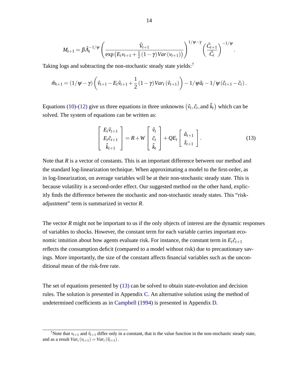$$
M_{t+1} = \beta \tilde{A}_t^{-1/\psi} \left( \frac{\tilde{V}_{t+1}}{\exp\left(E_t v_{t+1} + \frac{1}{2} (1-\gamma) \operatorname{Var}(v_{t+1})\right)} \right)^{1/\psi - \gamma} \left( \frac{\tilde{C}_{t+1}}{\tilde{C}_t} \right)^{-1/\psi}
$$

Taking logs and subtracting the non-stochastic steady state yields: $<sup>7</sup>$  $<sup>7</sup>$  $<sup>7</sup>$ </sup>

$$
\hat{m}_{t+1} = (1/\psi - \gamma) \left( \hat{v}_{t+1} - E_t \hat{v}_{t+1} + \frac{1}{2} (1 - \gamma) Var_t (\hat{v}_{t+1}) \right) - 1/\psi \hat{a}_t - 1/\psi (\hat{c}_{t+1} - \hat{c}_t).
$$

Equations [\(10\)-](#page-13-1)[\(12\)](#page-13-2) give us three equations in three unknowns  $(\hat{v}_t, \hat{c}_t, \hat{c}_t)$  which can be solved. The system of equations can be written as:

<span id="page-14-1"></span>
$$
\begin{bmatrix} E_t \hat{v}_{t+1} \\ E_t \hat{c}_{t+1} \\ \hat{k}_{t+1} \end{bmatrix} = R + W \begin{bmatrix} \hat{v}_t \\ \hat{c}_t \\ \hat{k}_t \end{bmatrix} + QE_t \begin{bmatrix} \hat{a}_{t+1} \\ \hat{z}_{t+1} \end{bmatrix}.
$$
 (13)

:

Note that *R* is a vector of constants. This is an important difference between our method and the standard log-linearization technique. When approximating a model to the first-order, as in log-linearization, on average variables will be at their non-stochastic steady state. This is because volatility is a second-order effect. Our suggested method on the other hand, explicitly finds the difference between the stochastic and non-stochastic steady states. This "riskadjustment" term is summarized in vector *R*:

The vector *R* might not be important to us if the only objects of interest are the dynamic responses of variables to shocks. However, the constant term for each variable carries important economic intuition about how agents evaluate risk. For instance, the constant term in  $E_t \hat{c}_{t+1}$ reflects the consumption deficit (compared to a model without risk) due to precautionary savings. More importantly, the size of the constant affects financial variables such as the unconditional mean of the risk-free rate.

The set of equations presented by [\(13\)](#page-14-1) can be solved to obtain state-evolution and decision rules. The solution is presented in Appendix [C.](#page-34-0) An alternative solution using the method of undetermined coefficients as in [Campbell](#page-30-13) [\(1994\)](#page-30-13) is presented in Appendix [D.](#page-35-0)

<span id="page-14-0"></span><sup>&</sup>lt;sup>7</sup>Note that  $v_{t+1}$  and  $\hat{v}_{t+1}$  differ only in a constant, that is the value function in the non-stochastic steady state, and as a result  $Var_t(v_{t+1}) = Var_t(\hat{v}_{t+1}).$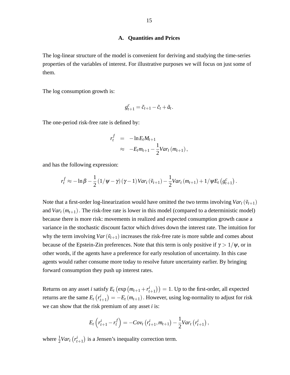# **A. Quantities and Prices**

<span id="page-15-0"></span>The log-linear structure of the model is convenient for deriving and studying the time-series properties of the variables of interest. For illustrative purposes we will focus on just some of them.

The log consumption growth is:

$$
g_{t+1}^c = \tilde{c}_{t+1} - \tilde{c}_t + \tilde{a}_t.
$$

The one-period risk-free rate is defined by:

$$
r_t^f = -\ln E_t M_{t+1}
$$
  
\n
$$
\approx -E_t m_{t+1} - \frac{1}{2}Var_t(m_{t+1}),
$$

and has the following expression:

$$
r_t^f \approx -\ln \beta - \frac{1}{2} \left( 1/\psi - \gamma \right) (\gamma - 1) \text{Var}_t \left( \tilde{v}_{t+1} \right) - \frac{1}{2} \text{Var}_t \left( m_{t+1} \right) + 1/\psi E_t \left( g_{t+1}^c \right).
$$

Note that a first-order log-linearization would have omitted the two terms involving  $Var_t(\tilde{v}_{t+1})$ and  $Var_t(m_{t+1})$ . The risk-free rate is lower in this model (compared to a deterministic model) because there is more risk: movements in realized and expected consumption growth cause a variance in the stochastic discount factor which drives down the interest rate. The intuition for why the term involving  $Var(\tilde{v}_{t+1})$  increases the risk-free rate is more subtle and comes about because of the Epstein-Zin preferences. Note that this term is only positive if  $\gamma > 1/\psi$ , or in other words, if the agents have a preference for early resolution of uncertainty. In this case agents would rather consume more today to resolve future uncertainty earlier. By bringing forward consumption they push up interest rates.

Returns on any asset *i* satisfy  $E_t$  (exp ( $m_{t+1} + r_t^i$  $(t_{t+1})$  = 1. Up to the first-order, all expected returns are the same  $E_t$   $(r_t^i)$  $\binom{i}{t+1} = -E_t(m_{t+1})$ . However, using log-normality to adjust for risk we can show that the risk premium of any asset *i* is:

$$
E_t\left(r_{t+1}^i - r_t^f\right) = -Cov_t\left(r_{t+1}^i, m_{t+1}\right) - \frac{1}{2}Var_t\left(r_{t+1}^i\right),
$$

where  $\frac{1}{2}Var_t(r_t^i)$  $(t_{t+1})$  is a Jensen's inequality correction term.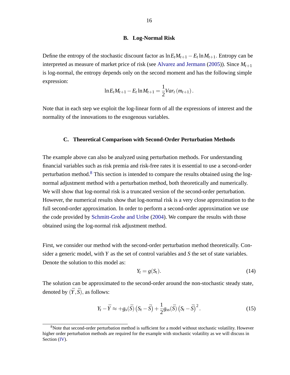#### **B. Log-Normal Risk**

<span id="page-16-0"></span>Define the entropy of the stochastic discount factor as  $\ln E_t M_{t+1} - E_t \ln M_{t+1}$ . Entropy can be interpreted as measure of market price of risk (see [Alvarez and Jermann](#page-30-14) [\(2005\)](#page-30-14)). Since  $M_{t+1}$ is log-normal, the entropy depends only on the second moment and has the following simple expression:

$$
\ln E_t M_{t+1} - E_t \ln M_{t+1} = \frac{1}{2} Var_t (m_{t+1}).
$$

Note that in each step we exploit the log-linear form of all the expressions of interest and the normality of the innovations to the exogenous variables.

#### <span id="page-16-1"></span>**C. Theoretical Comparison with Second-Order Perturbation Methods**

The example above can also be analyzed using perturbation methods. For understanding financial variables such as risk premia and risk-free rates it is essential to use a second-order perturbation method.[8](#page-16-2) This section is intended to compare the results obtained using the lognormal adjustment method with a perturbation method, both theoretically and numerically. We will show that log-normal risk is a truncated version of the second-order perturbation. However, the numerical results show that log-normal risk is a very close approximation to the full second-order approximation. In order to perform a second-order approximation we use the code provided by [Schmitt-Grohe and Uribe](#page-31-1) [\(2004\)](#page-31-1). We compare the results with those obtained using the log-normal risk adjustment method.

First, we consider our method with the second-order perturbation method theoretically. Consider a generic model, with *Y* as the set of control variables and *S* the set of state variables. Denote the solution to this model as:

$$
Y_t = g(S_t). \tag{14}
$$

The solution can be approximated to the second-order around the non-stochastic steady state, denoted by  $(\bar{Y}, \bar{S})$ , as follows:

<span id="page-16-3"></span>
$$
Y_t - \bar{Y} \approx +g_s(\bar{S})\left(S_t - \bar{S}\right) + \frac{1}{2}g_{ss}(\bar{S})\left(S_t - \bar{S}\right)^2.
$$
\n(15)

<span id="page-16-2"></span><sup>&</sup>lt;sup>8</sup>Note that second-order perturbation method is sufficient for a model without stochastic volatility. However higher order perturbation methods are required for the example with stochastic volatility as we will discuss in Section [\(IV\)](#page-22-0).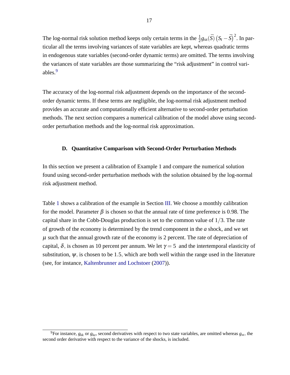The log-normal risk solution method keeps only certain terms in the  $\frac{1}{2}g_{ss}(\bar{S})\left(S_t-\bar{S}\right)^2$ . In particular all the terms involving variances of state variables are kept, whereas quadratic terms in endogenous state variables (second-order dynamic terms) are omitted. The terms involving the variances of state variables are those summarizing the "risk adjustment" in control vari-ables.<sup>[9](#page-17-1)</sup>

The accuracy of the log-normal risk adjustment depends on the importance of the secondorder dynamic terms. If these terms are negligible, the log-normal risk adjustment method provides an accurate and computationally efficient alternative to second-order perturbation methods. The next section compares a numerical calibration of the model above using secondorder perturbation methods and the log-normal risk approximation.

# <span id="page-17-0"></span>**D. Quantitative Comparison with Second-Order Perturbation Methods**

In this section we present a calibration of Example 1 and compare the numerical solution found using second-order perturbation methods with the solution obtained by the log-normal risk adjustment method.

Table [1](#page-18-0) shows a calibration of the example in Section [III.](#page-12-0) We choose a monthly calibration for the model. Parameter  $\beta$  is chosen so that the annual rate of time preference is 0.98. The capital share in the Cobb-Douglas production is set to the common value of  $1/3$ . The rate of growth of the economy is determined by the trend component in the *a* shock, and we set  $\mu$  such that the annual growth rate of the economy is 2 percent. The rate of depreciation of capital,  $\delta$ , is chosen as 10 percent per annum. We let  $\gamma = 5$  and the intertemporal elasticity of substitution,  $\psi$ , is chosen to be 1.5, which are both well within the range used in the literature (see, for instance, [Kaltenbrunner and Lochstoer](#page-31-7) [\(2007\)](#page-31-7)).

<span id="page-17-1"></span><sup>&</sup>lt;sup>9</sup>For instance,  $g_{kk}$  or  $g_{kz}$ , second derivatives with respect to two state variables, are omitted whereas  $g_{ss}$ , the second order derivative with respect to the variance of the shocks, is included.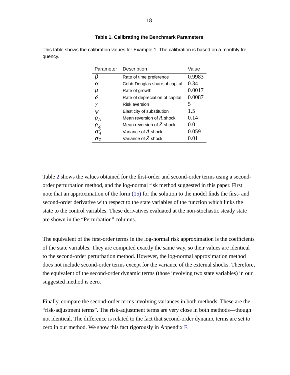| Parameter  | Description                     | Value  |
|------------|---------------------------------|--------|
| β          | Rate of time preference         | 0.9983 |
| $\alpha$   | Cobb-Douglas share of capital   | 0.34   |
| μ          | Rate of growth                  | 0.0017 |
| $\delta$   | Rate of depreciation of capital | 0.0087 |
| γ          | Risk aversion                   | ╮      |
| Ψ          | Elasticity of substitution      | 1.5    |
| $\rho_A$   | Mean reversion of $A$ shock     | 0.14   |
|            | Mean reversion of $Z$ shock     | 0.0    |
| $\rho_Z^2$ | Variance of $A$ shock           | 0.059  |
| $\sigma_Z$ | Variance of $Z$ shock           | 0.01   |

# <span id="page-18-0"></span>**Table 1. Calibrating the Benchmark Parameters**

This table shows the calibration values for Example 1. The calibration is based on a monthly frequency.

Table [2](#page-19-0) shows the values obtained for the first-order and second-order terms using a secondorder perturbation method, and the log-normal risk method suggested in this paper. First note that an approximation of the form [\(15\)](#page-16-3) for the solution to the model finds the first- and second-order derivative with respect to the state variables of the function which links the state to the control variables. These derivatives evaluated at the non-stochastic steady state are shown in the "Perturbation" columns.

The equivalent of the first-order terms in the log-normal risk approximation is the coefficients of the state variables. They are computed exactly the same way, so their values are identical to the second-order perturbation method. However, the log-normal approximation method does not include second-order terms except for the variance of the external shocks. Therefore, the equivalent of the second-order dynamic terms (those involving two state variables) in our suggested method is zero.

Finally, compare the second-order terms involving variances in both methods. These are the "risk-adjustment terms". The risk-adjustment terms are very close in both methods—though not identical. The difference is related to the fact that second-order dynamic terms are set to zero in our method. We show this fact rigorously in Appendix [F.](#page-39-1)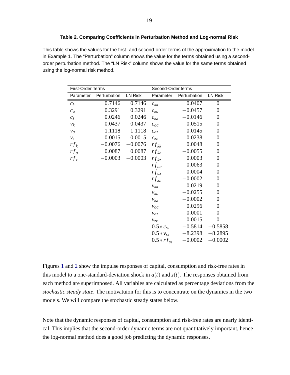# <span id="page-19-0"></span>**Table 2. Comparing Coefficients in Perturbation Method and Log-normal Risk**

This table shows the values for the first- and second-order terms of the approximation to the model in Example 1. The "Perturbation" column shows the value for the terms obtained using a secondorder perturbation method. The "LN Risk" column shows the value for the same terms obtained using the log-normal risk method.

| <b>First-Order Terms</b> |              | Second-Order terms |                           |           |                  |
|--------------------------|--------------|--------------------|---------------------------|-----------|------------------|
| Parameter                | Perturbation | <b>LN Risk</b>     | Perturbation<br>Parameter |           | <b>LN Risk</b>   |
| $\mathfrak{c}_k$         | 0.7146       | 0.7146             | $c_{kk}$                  | 0.0407    | $\overline{0}$   |
| $c_a$                    | 0.3291       | 0.3291             | $c_{ka}$                  | $-0.0457$ | $\boldsymbol{0}$ |
| $c_z$                    | 0.0246       | 0.0246             | $c_{kz}$                  | $-0.0146$ | $\overline{0}$   |
| $v_k$                    | 0.0437       | 0.0437             | $c_{aa}$                  | 0.0515    | $\boldsymbol{0}$ |
| $v_a$                    | 1.1118       | 1.1118             | $c_{az}$                  | 0.0145    | $\boldsymbol{0}$ |
| $\mathcal{V}_Z$          | 0.0015       | 0.0015             | $c_{zz}$                  | 0.0238    | $\boldsymbol{0}$ |
| $rf_k$                   | $-0.0076$    | $-0.0076$          | $rf_{kk}$                 | 0.0048    | $\boldsymbol{0}$ |
| $rf_a$                   | 0.0087       | 0.0087             | $rf_{ka}$                 | $-0.0055$ | $\overline{0}$   |
| $rf_z$                   | $-0.0003$    | $-0.0003$          | $rf_{kz}$                 | 0.0003    | $\overline{0}$   |
|                          |              |                    | $rf_{aa}$                 | 0.0063    | $\boldsymbol{0}$ |
|                          |              |                    | $rf_{az}$                 | $-0.0004$ | $\overline{0}$   |
|                          |              |                    | $rf_{zz}$                 | $-0.0002$ | $\boldsymbol{0}$ |
|                          |              |                    | $v_{kk}$                  | 0.0219    | $\overline{0}$   |
|                          |              |                    | $v_{ka}$                  | $-0.0255$ | $\boldsymbol{0}$ |
|                          |              |                    | $v_{kz}$                  | $-0.0002$ | $\overline{0}$   |
|                          |              |                    | $v_{aa}$                  | 0.0296    | $\overline{0}$   |
|                          |              |                    | $v_{az}$                  | 0.0001    | $\overline{0}$   |
|                          |              |                    | $v_{zz}$                  | 0.0015    | $\overline{0}$   |
|                          |              |                    | $0.5 * c_{ss}$            | $-0.5814$ | $-0.5858$        |
|                          |              |                    | $0.5 * v_{ss}$            | $-8.2398$ | $-8.2895$        |
|                          |              |                    | $0.5*r f_{ss}$            | $-0.0002$ | $-0.0002$        |

Figures [1](#page-20-0) and [2](#page-21-1) show the impulse responses of capital, consumption and risk-free rates in this model to a one-standard-deviation shock in  $a(t)$  and  $z(t)$ . The responses obtained from each method are superimposed. All variables are calculated as percentage deviations from the *stochastic steady state*. The motivatuion for this is to concentrate on the dynamics in the two models. We will compare the stochastic steady states below.

Note that the dynamic responses of capital, consumption and risk-free rates are nearly identical. This implies that the second-order dynamic terms are not quantitatively important, hence the log-normal method does a good job predicting the dynamic responses.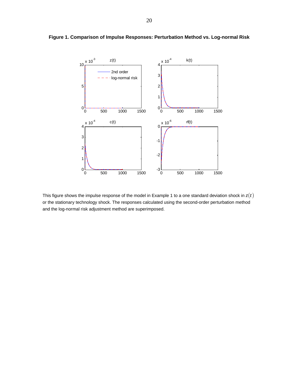<span id="page-20-0"></span>

# **Figure 1. Comparison of Impulse Responses: Perturbation Method vs. Log-normal Risk**

This figure shows the impulse response of the model in Example 1 to a one standard deviation shock in *z*(*t*) or the stationary technology shock. The responses calculated using the second-order perturbation method and the log-normal risk adjustment method are superimposed.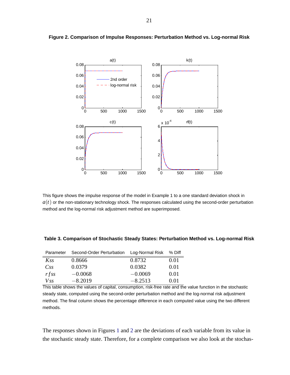<span id="page-21-1"></span>

**Figure 2. Comparison of Impulse Responses: Perturbation Method vs. Log-normal Risk**

This figure shows the impulse response of the model in Example 1 to a one standard deviation shock in  $a(t)$  or the non-stationary technology shock. The responses calculated using the second-order perturbation method and the log-normal risk adjustment method are superimposed.

<span id="page-21-0"></span>

| Parameter | Second-Order Perturbation Log-Normal Risk % Diff |           |                                                                                                              |
|-----------|--------------------------------------------------|-----------|--------------------------------------------------------------------------------------------------------------|
| Kss       | 0.8666                                           | 0.8732    | 0.01                                                                                                         |
| CsS       | 0.0379                                           | 0.0382    | 0.01                                                                                                         |
| rfss      | $-0.0068$                                        | $-0.0069$ | 0.01                                                                                                         |
| $V_{SS}$  | $-8.2019$                                        | $-8.2513$ | 0.01                                                                                                         |
|           |                                                  |           | This table shows the values of capital, consumption, risk-free rate and the value function in the stochastic |

steady state, computed using the second-order perturbation method and the log-normal risk adjustment method. The final column shows the percentage difference in each computed value using the two different methods.

The responses shown in Figures [1](#page-20-0) and [2](#page-21-1) are the deviations of each variable from its value in the stochastic steady state. Therefore, for a complete comparison we also look at the stochas-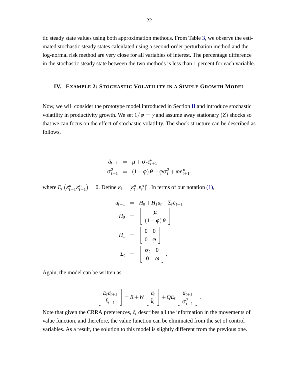tic steady state values using both approximation methods. From Table [3,](#page-21-0) we observe the estimated stochastic steady states calculated using a second-order perturbation method and the log-normal risk method are very close for all variables of interest. The percentage difference in the stochastic steady state between the two methods is less than 1 percent for each variable.

#### <span id="page-22-0"></span>**IV. EXAMPLE 2: STOCHASTIC VOLATILITY IN A SIMPLE GROWTH MODEL**

Now, we will consider the prototype model introduced in Section [II](#page-6-0) and introduce stochastic volatility in productivity growth. We set  $1/\psi = \gamma$  and assume away stationary (*Z*) shocks so that we can focus on the effect of stochastic volatility. The shock structure can be described as follows,

$$
\hat{a}_{t+1} = \mu + \sigma_t \varepsilon_{t+1}^a
$$
  

$$
\sigma_{t+1}^2 = (1 - \varphi) \theta + \varphi \sigma_t^2 + \omega \varepsilon_{t+1}^{\sigma}.
$$

where  $E_t$  ( $\varepsilon_t^a$ )  $\mathcal{L}_{t+1}^a \mathcal{E}_{t+1}^{\sigma}$  = 0. Define  $\mathcal{E}_t = [\mathcal{E}_t^a, \mathcal{E}_t^{\sigma}]'$ . In terms of our notation [\(1\),](#page-8-2)

$$
u_{t+1} = H_0 + H_1 u_t + \Sigma_t \varepsilon_{t+1}
$$
  
\n
$$
H_0 = \begin{bmatrix} \mu \\ (1-\varphi)\theta \end{bmatrix}
$$
  
\n
$$
H_1 = \begin{bmatrix} 0 & 0 \\ 0 & \varphi \end{bmatrix}
$$
  
\n
$$
\Sigma_t = \begin{bmatrix} \sigma_t & 0 \\ 0 & \omega \end{bmatrix}.
$$

Again, the model can be written as:

$$
\left[\begin{array}{c} E_t\hat{c}_{t+1} \\ \hat{k}_{t+1} \end{array}\right] = R + W \left[\begin{array}{c} \hat{c}_t \\ \hat{k}_t \end{array}\right] + QE_t \left[\begin{array}{c} \hat{a}_{t+1} \\ \sigma_{t+1}^2 \end{array}\right].
$$

Note that given the CRRA preferences,  $\hat{c}_t$  describes all the information in the movements of value function, and therefore, the value function can be eliminated from the set of control variables. As a result, the solution to this model is slightly different from the previous one.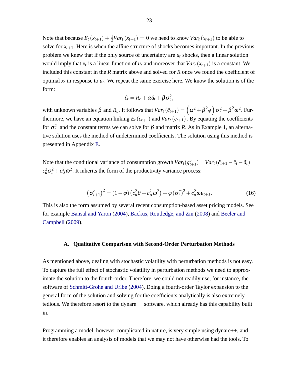Note that because  $E_t(x_{t+1}) + \frac{1}{2}Var_t(x_{t+1}) = 0$  we need to know  $Var_t(x_{t+1})$  to be able to solve for  $x_{t+1}$ . Here is when the affine structure of shocks becomes important. In the previous problem we knew that if the only source of uncertainty are  $u_t$  shocks, then a linear solution would imply that  $x_t$  is a linear function of  $u_t$  and moreover that  $Var_t(x_{t+1})$  is a constant. We included this constant in the *R* matrix above and solved for *R* once we found the coefficient of optimal  $x_t$  in response to  $u_t$ . We repeat the same exercise here. We know the solution is of the form:

$$
\hat{c}_t = R_c + \alpha \hat{a}_t + \beta \sigma_t^2,
$$

with unknown variables  $\beta$  and  $R_c$ . It follows that  $Var_t(\hat{c}_{t+1}) = (\alpha^2 + \beta^2 \phi) \sigma_t^2 + \beta^2 \omega^2$ . Furthermore, we have an equation linking  $E_t(c_{t+1})$  and  $Var_t(c_{t+1})$ . By equating the coefficients for  $σ_t^2$  and the constant terms we can solve for  $β$  and matrix *R*. As in Example 1, an alternative solution uses the method of undetermined coefficients. The solution using this method is presented in Appendix [E.](#page-39-0)

Note that the conditional variance of consumption growth  $Var_t(g_t^c)$  $(t_{t+1}^c) = Var_t(\tilde{c}_{t+1} - \tilde{c}_t - \tilde{a}_t) =$  $c_a^2 \sigma_t^2 + c_\sigma^2 \omega^2$ . It inherits the form of the productivity variance process:

<span id="page-23-1"></span>
$$
\left(\sigma_{t+1}^c\right)^2 = \left(1 - \varphi\right)\left(c_a^2 \theta + c_\sigma^2 \omega^2\right) + \varphi\left(\sigma_t^c\right)^2 + c_a^2 \omega \varepsilon_{t+1}.\tag{16}
$$

This is also the form assumed by several recent consumption-based asset pricing models. See for example [Bansal and Yaron](#page-30-10) [\(2004\)](#page-30-10), [Backus, Routledge, and Zin](#page-30-15) [\(2008\)](#page-30-15) and [Beeler and](#page-30-16) [Campbell](#page-30-16) [\(2009\)](#page-30-16).

#### <span id="page-23-0"></span>**A. Qualitative Comparison with Second-Order Perturbation Methods**

As mentioned above, dealing with stochastic volatility with perturbation methods is not easy. To capture the full effect of stochastic volatility in perturbation methods we need to approximate the solution to the fourth-order. Therefore, we could not readily use, for instance, the software of [Schmitt-Grohe and Uribe](#page-31-1) [\(2004\)](#page-31-1). Doing a fourth-order Taylor expansion to the general form of the solution and solving for the coefficients analytically is also extremely tedious. We therefore resort to the dynare++ software, which already has this capability built in.

Programming a model, however complicated in nature, is very simple using dynare++, and it therefore enables an analysis of models that we may not have otherwise had the tools. To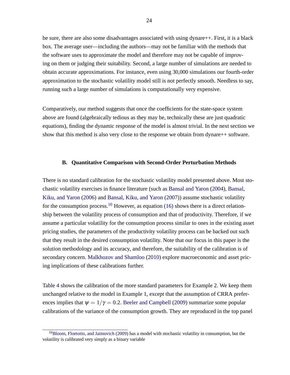be sure, there are also some disadvantages associated with using dynare++. First, it is a black box. The average user—including the authors—may not be familiar with the methods that the software uses to approximate the model and therefore may not be capable of improving on them or judging their suitability. Second, a large number of simulations are needed to obtain accurate approximations. For instance, even using 30,000 simulations our fourth-order approximation to the stochastic volatility model still is not perfectly smooth. Needless to say, running such a large number of simulations is computationally very expensive.

Comparatively, our method suggests that once the coefficients for the state-space system above are found (algebraically tedious as they may be, technically these are just quadratic equations), finding the dynamic response of the model is almost trivial. In the next section we show that this method is also very close to the response we obtain from dynare++ software.

# <span id="page-24-0"></span>**B. Quantitative Comparison with Second-Order Perturbation Methods**

There is no standard calibration for the stochastic volatility model presented above. Most stochastic volatility exercises in finance literature (such as [Bansal and Yaron](#page-30-10) [\(2004\)](#page-30-10), [Bansal,](#page-30-17) [Kiku, and Yaron](#page-30-17) [\(2006\)](#page-30-17) and [Bansal, Kiku, and Yaron](#page-30-18) [\(2007\)](#page-30-18)) assume stochastic volatility for the consumption process.<sup>[10](#page-24-1)</sup> However, as equation [\(16\)](#page-23-1) shows there is a direct relationship between the volatility process of consumption and that of productivity. Therefore, if we assume a particular volatility for the consumption process similar to ones in the existing asset pricing studies, the parameters of the productivity volatility process can be backed out such that they result in the desired consumption volatility. Note that our focus in this paper is the solution methodology and its accuracy, and therefore, the suitability of the calibration is of secondary concern. [Malkhozov and Shamloo](#page-31-4) [\(2010\)](#page-31-4) explore macroeconomic and asset pricing implications of these calibrations further.

Table [4](#page-25-0) shows the calibration of the more standard parameters for Example 2. We keep them unchanged relative to the model in Example 1, except that the assumption of CRRA preferences implies that  $\psi = 1/\gamma = 0.2$ . [Beeler and Campbell](#page-30-16) [\(2009\)](#page-30-16) summarize some popular calibrations of the variance of the consumption growth. They are reproduced in the top panel

<span id="page-24-1"></span><sup>&</sup>lt;sup>10</sup>[Bloom, Floetotto, and Jaimovich](#page-30-8) [\(2009\)](#page-30-8) has a model with stochastic volatility in consumption, but the volatility is calibrated very simply as a binary variable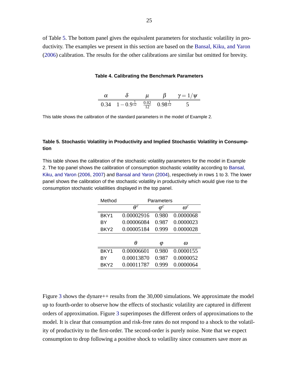of Table [5.](#page-25-1) The bottom panel gives the equivalent parameters for stochastic volatility in productivity. The examples we present in this section are based on the [Bansal, Kiku, and Yaron](#page-30-17) [\(2006\)](#page-30-17) calibration. The results for the other calibrations are similar but omitted for brevity.

#### <span id="page-25-0"></span>**Table 4. Calibrating the Benchmark Parameters**

|                                                                                          |  | $\gamma = 1/\psi$ |
|------------------------------------------------------------------------------------------|--|-------------------|
| 0.34 $1-0.9^{\frac{1}{12}} \quad \frac{0.02}{12} \quad \frac{0.03}{0.98^{\frac{1}{12}}}$ |  |                   |

This table shows the calibration of the standard parameters in the model of Example 2.

# <span id="page-25-1"></span>**Table 5. Stochastic Volatility in Productivity and Implied Stochastic Volatility in Consumption**

This table shows the calibration of the stochastic volatility parameters for the model in Example 2. The top panel shows the calibration of consumption stochastic volatility according to [Bansal,](#page-30-17) [Kiku, and Yaron](#page-30-17) [\(2006,](#page-30-17) [2007\)](#page-30-18) and [Bansal and Yaron](#page-30-10) [\(2004\)](#page-30-10), respectively in rows 1 to 3. The lower panel shows the calibration of the stochastic volatility in productivity which would give rise to the consumption stochastic volatilities displayed in the top panel.

| Method           | Parameters |             |                         |  |
|------------------|------------|-------------|-------------------------|--|
|                  | $\theta^c$ | $\varphi^c$ | $\boldsymbol{\omega}^c$ |  |
| BKY1             | 0.00002916 | 0.980       | 0.0000068               |  |
| ВY               | 0.00006084 | 0.987       | 0.0000023               |  |
| BKY <sub>2</sub> | 0.00005184 | 0.999       | 0.0000028               |  |
|                  |            |             |                         |  |
|                  | Ĥ          | φ           | $\omega$                |  |
| BKY1             | 0.00006601 | 0.980       | 0.0000155               |  |
| ВY               | 0.00013870 | 0.987       | 0.0000052               |  |
| BKY <sub>2</sub> | 0.00011787 | () 999      | 0.0000064               |  |

Figure [3](#page-27-0) shows the dynare++ results from the 30,000 simulations. We approximate the model up to fourth-order to observe how the effects of stochastic volatility are captured in different orders of approximation. Figure [3](#page-27-0) superimposes the different orders of approximations to the model. It is clear that consumption and risk-free rates do not respond to a shock to the volatility of productivity to the first-order. The second-order is purely noise. Note that we expect consumption to drop following a positive shock to volatility since consumers save more as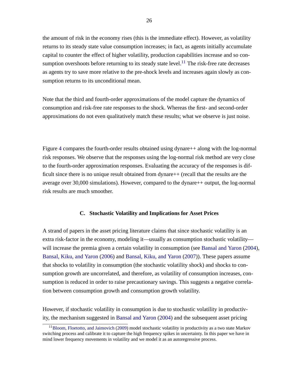the amount of risk in the economy rises (this is the immediate effect). However, as volatility returns to its steady state value consumption increases; in fact, as agents initially accumulate capital to counter the effect of higher volatility, production capabilities increase and so con-sumption overshoots before returning to its steady state level.<sup>[11](#page-26-1)</sup> The risk-free rate decreases as agents try to save more relative to the pre-shock levels and increases again slowly as consumption returns to its unconditional mean.

Note that the third and fourth-order approximations of the model capture the dynamics of consumption and risk-free rate responses to the shock. Whereas the first- and second-order approximations do not even qualitatively match these results; what we observe is just noise.

Figure [4](#page-28-0) compares the fourth-order results obtained using dynare++ along with the log-normal risk responses. We observe that the responses using the log-normal risk method are very close to the fourth-order approximation responses. Evaluating the accuracy of the responses is difficult since there is no unique result obtained from dynare + (recall that the results are the average over 30,000 simulations). However, compared to the dynare++ output, the log-normal risk results are much smoother.

# **C. Stochastic Volatility and Implications for Asset Prices**

<span id="page-26-0"></span>A strand of papers in the asset pricing literature claims that since stochastic volatility is an extra risk-factor in the economy, modeling it—usually as consumption stochastic volatility— will increase the premia given a certain volatility in consumption (see [Bansal and Yaron](#page-30-10) [\(2004\)](#page-30-10), [Bansal, Kiku, and Yaron](#page-30-17) [\(2006\)](#page-30-17) and [Bansal, Kiku, and Yaron](#page-30-18) [\(2007\)](#page-30-18)). These papers assume that shocks to volatility in consumption (the stochastic volatility shock) and shocks to consumption growth are uncorrelated, and therefore, as volatility of consumption increases, consumption is reduced in order to raise precautionary savings. This suggests a negative correlation between consumption growth and consumption growth volatility.

However, if stochastic volatility in consumption is due to stochastic volatility in productivity, the mechanism suggested in [Bansal and Yaron](#page-30-10) [\(2004\)](#page-30-10) and the subsequent asset pricing

<span id="page-26-1"></span><sup>&</sup>lt;sup>11</sup>[Bloom, Floetotto, and Jaimovich](#page-30-8) [\(2009\)](#page-30-8) model stochastic volatility in productivity as a two state Markov switching process and calibrate it to capture the high frequency spikes in uncertainty. In this paper we have in mind lower frequency movements in volatility and we model it as an autoregressive process.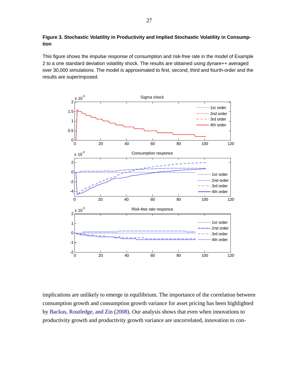# <span id="page-27-0"></span>**Figure 3. Stochastic Volatility in Productivity and Implied Stochastic Volatility in Consumption**

This figure shows the impulse response of consumption and risk-free rate in the model of Example 2 to a one standard deviation volatility shock. The results are obtained using dynare++ averaged over 30,000 simulations. The model is approximated to first, second, third and fourth-order and the results are superimposed.



implications are unlikely to emerge in equilibrium. The importance of the correlation between consumption growth and consumption growth variance for asset pricing has been highlighted by [Backus, Routledge, and Zin](#page-30-15) [\(2008\)](#page-30-15). Our analysis shows that even when innovations to productivity growth and productivity growth variance are uncorrelated, innovation to con-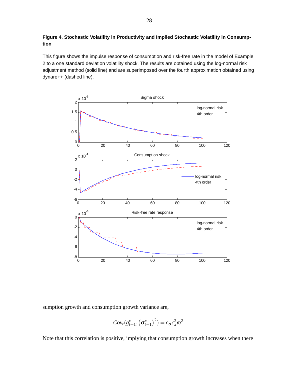# <span id="page-28-0"></span>**Figure 4. Stochastic Volatility in Productivity and Implied Stochastic Volatility in Consumption**

This figure shows the impulse response of consumption and risk-free rate in the model of Example 2 to a one standard deviation volatility shock. The results are obtained using the log-normal risk adjustment method (solid line) and are superimposed over the fourth approximation obtained using dynare++ (dashed line).



sumption growth and consumption growth variance are,

$$
Cov_t(g_{t+1}^c, (\sigma_{t+1}^c)^2) = c_{\sigma}c_x^2\omega^2.
$$

Note that this correlation is positive, implying that consumption growth increases when there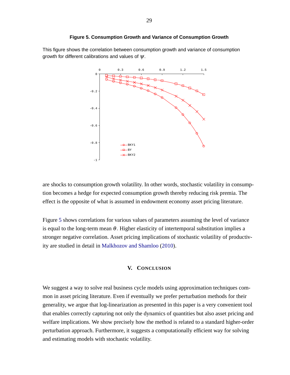<span id="page-29-1"></span>

This figure shows the correlation between consumption growth and variance of consumption growth for different calibrations and values of  $\psi$ .



are shocks to consumption growth volatility. In other words, stochastic volatility in consumption becomes a hedge for expected consumption growth thereby reducing risk premia. The effect is the opposite of what is assumed in endowment economy asset pricing literature.

Figure [5](#page-29-1) shows correlations for various values of parameters assuming the level of variance is equal to the long-term mean  $\theta$ . Higher elasticity of intertemporal substitution implies a stronger negative correlation. Asset pricing implications of stochastic volatility of productivity are studied in detail in [Malkhozov and Shamloo](#page-31-4) [\(2010\)](#page-31-4).

# **V. CONCLUSION**

<span id="page-29-0"></span>We suggest a way to solve real business cycle models using approximation techniques common in asset pricing literature. Even if eventually we prefer perturbation methods for their generality, we argue that log-linearization as presented in this paper is a very convenient tool that enables correctly capturing not only the dynamics of quantities but also asset pricing and welfare implications. We show precisely how the method is related to a standard higher-order perturbation approach. Furthermore, it suggests a computationally efficient way for solving and estimating models with stochastic volatility.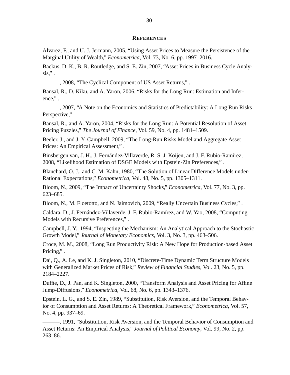#### **REFERENCES**

<span id="page-30-14"></span><span id="page-30-0"></span>Alvarez, F., and U. J. Jermann, 2005, "Using Asset Prices to Measure the Persistence of the Marginal Utility of Wealth," *Econometrica*, Vol. 73, No. 6, pp. 1997–2016.

<span id="page-30-3"></span>Backus, D. K., B. R. Routledge, and S. E. Zin, 2007, "Asset Prices in Business Cycle Analy- $\sin$ ".

<span id="page-30-15"></span>———, 2008, "The Cyclical Component of US Asset Returns," .

<span id="page-30-17"></span>Bansal, R., D. Kiku, and A. Yaron, 2006, "Risks for the Long Run: Estimation and Inference,".

<span id="page-30-18"></span>———, 2007, "A Note on the Economics and Statistics of Predictability: A Long Run Risks Perspective,".

<span id="page-30-10"></span>Bansal, R., and A. Yaron, 2004, "Risks for the Long Run: A Potential Resolution of Asset Pricing Puzzles," *The Journal of Finance*, Vol. 59, No. 4, pp. 1481–1509.

<span id="page-30-16"></span>Beeler, J., and J. Y. Campbell, 2009, "The Long-Run Risks Model and Aggregate Asset Prices: An Empirical Assessment," .

<span id="page-30-5"></span>Binsbergen van, J. H., J. Fernández-Villaverde, R. S. J. Koijen, and J. F. Rubio-Ramírez, 2008, "Likelihood Estimation of DSGE Models with Epstein-Zin Preferences," .

<span id="page-30-12"></span>Blanchard, O. J., and C. M. Kahn, 1980, "The Solution of Linear Difference Models under-Rational Expectations," *Econometrica*, Vol. 48, No. 5, pp. 1305–1311.

<span id="page-30-11"></span>Bloom, N., 2009, "The Impact of Uncertainty Shocks," *Econometrica*, Vol. 77, No. 3, pp. 623–685.

<span id="page-30-8"></span>Bloom, N., M. Floetotto, and N. Jaimovich, 2009, "Really Uncertain Business Cycles," .

<span id="page-30-4"></span>Caldara, D., J. Fernández-Villaverde, J. F. Rubio-Ramírez, and W. Yao, 2008, "Computing Models with Recursive Preferences," .

<span id="page-30-13"></span>Campbell, J. Y., 1994, "Inspecting the Mechanism: An Analytical Approach to the Stochastic Growth Model," *Journal of Monetary Economics*, Vol. 3, No. 3, pp. 463–506.

<span id="page-30-7"></span>Croce, M. M., 2008, "Long Run Productivity Risk: A New Hope for Production-based Asset Pricing,".

<span id="page-30-9"></span>Dai, Q., A. Le, and K. J. Singleton, 2010, "Discrete-Time Dynamic Term Structure Models with Generalized Market Prices of Risk," *Review of Financial Studies*, Vol. 23, No. 5, pp. 2184–2227.

<span id="page-30-6"></span>Duffie, D., J. Pan, and K. Singleton, 2000, "Transform Analysis and Asset Pricing for Affine Jump-Diffusions," *Econometrica*, Vol. 68, No. 6, pp. 1343–1376.

<span id="page-30-1"></span>Epstein, L. G., and S. E. Zin, 1989, "Substitution, Risk Aversion, and the Temporal Behavior of Consumption and Asset Returns: A Theoretical Framework," *Econometrica*, Vol. 57, No. 4, pp. 937–69.

<span id="page-30-2"></span>———, 1991, "Substitution, Risk Aversion, and the Temporal Behavior of Consumption and Asset Returns: An Empirical Analysis," *Journal of Political Economy*, Vol. 99, No. 2, pp. 263–86.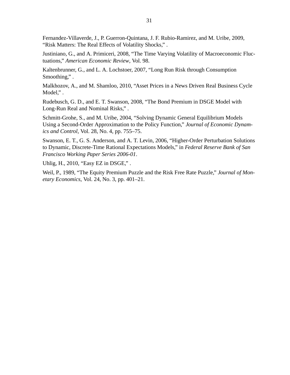<span id="page-31-3"></span>Fernandez-Villaverde, J., P. Guerron-Quintana, J. F. Rubio-Ramirez, and M. Uribe, 2009, "Risk Matters: The Real Effects of Volatility Shocks," .

<span id="page-31-8"></span>Justiniano, G., and A. Primiceri, 2008, "The Time Varying Volatility of Macroeconomic Fluctuations," *American Economic Review*, Vol. 98.

<span id="page-31-7"></span>Kaltenbrunner, G., and L. A. Lochstoer, 2007, "Long Run Risk through Consumption Smoothing,".

<span id="page-31-4"></span>Malkhozov, A., and M. Shamloo, 2010, "Asset Prices in a News Driven Real Business Cycle Model,".

<span id="page-31-5"></span>Rudebusch, G. D., and E. T. Swanson, 2008, "The Bond Premium in DSGE Model with Long-Run Real and Nominal Risks," .

<span id="page-31-1"></span>Schmitt-Grohe, S., and M. Uribe, 2004, "Solving Dynamic General Equilibrium Models Using a Second-Order Approximation to the Policy Function," *Journal of Economic Dynamics and Control*, Vol. 28, No. 4, pp. 755–75.

<span id="page-31-6"></span>Swanson, E. T., G. S. Anderson, and A. T. Levin, 2006, "Higher-Order Perturbation Solutions to Dynamic, Discrete-Time Rational Expectations Models," in *Federal Reserve Bank of San Francisco Working Paper Series 2006-01*.

<span id="page-31-2"></span>Uhlig, H., 2010, "Easy EZ in DSGE," .

<span id="page-31-0"></span>Weil, P., 1989, "The Equity Premium Puzzle and the Risk Free Rate Puzzle," *Journal of Monetary Economics*, Vol. 24, No. 3, pp. 401–21.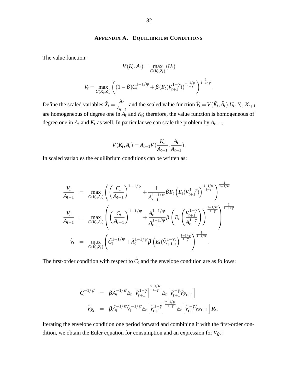#### **APPENDIX A. EQUILIBRIUM CONDITIONS**

<span id="page-32-0"></span>The value function:

$$
V(K_t, A_t) = \max_{C(K_t, Z_t)} (U_t)
$$
  

$$
V_t = \max_{C(K_t, Z_t)} \left( (1 - \beta) C_t^{1 - 1/\psi} + \beta (E_t (V_{t+1}^{1 - \gamma}))^{\frac{1 - 1/\psi}{1 - \gamma}} \right)^{\frac{1}{1 - 1/\psi}}
$$

:

Define the scaled variables  $\tilde{X}_t =$ *Xt*  $A_{t-1}$ and the scaled value function  $\tilde{V}_t = V(\tilde{K}_t, \tilde{A}_t)$ .  $U_t, Y_t, K_{t+1}$ are homogeneous of degree one in  $A_t$  and  $K_t$ ; therefore, the value function is homogeneous of degree one in  $A_t$  and  $K_t$  as well. In particular we can scale the problem by  $A_{t-1}$ ,

$$
V(K_t, A_t) = A_{t-1} V(\frac{K_t}{A_{t-1}}, \frac{A_t}{A_{t-1}}).
$$

In scaled variables the equilibrium conditions can be written as:

$$
\frac{V_t}{A_{t-1}} = \max_{C(K_t, A_t)} \left( \left( \frac{C_t}{A_{t-1}} \right)^{1-1/\psi} + \frac{1}{A_{t-1}^{1-1/\psi}} \beta E_t \left( E_t (V_{t+1}^{1-\gamma}) \right)^{\frac{1-1/\psi}{1-\gamma}} \right)^{\frac{1}{1-1/\psi}}
$$
\n
$$
\frac{V_t}{A_{t-1}} = \max_{C(K_t, A_t)} \left( \left( \frac{C_t}{A_{t-1}} \right)^{1-1/\psi} + \frac{A_t^{1-1/\psi}}{A_{t-1}^{1-1/\psi}} \beta \left( E_t \left( \frac{V_{t+1}^{1-\gamma}}{A_t^{1-\gamma}} \right) \right)^{\frac{1-1/\psi}{1-\gamma}} \right)^{\frac{1}{1-1/\psi}}
$$
\n
$$
\tilde{V}_t = \max_{C(\tilde{K}_t, Z_t)} \left( \tilde{C}_t^{1-1/\psi} + \tilde{A}_t^{1-1/\psi} \beta \left( E_t (\tilde{V}_{t+1}^{1-\gamma}) \right)^{\frac{1-1/\psi}{1-\gamma}} \right)^{\frac{1}{1-1/\psi}}.
$$

The first-order condition with respect to  $\tilde{C}_t$  and the envelope condition are as follows:

$$
\tilde{C}_t^{-1/\psi} = \beta \tilde{A}_t^{-1/\psi} E_t \left[ \tilde{V}_{t+1}^{1-\gamma} \right]^{\frac{\gamma-1/\psi}{1-\gamma}} E_t \left[ \tilde{V}_{t+1}^{-\gamma} \tilde{V}_{\tilde{K}t+1} \right] \n\tilde{V}_{\tilde{K}t} = \beta \tilde{A}_t^{-1/\psi} \tilde{V}_t^{-1/\psi} E_t \left[ \tilde{V}_{t+1}^{1-\gamma} \right]^{\frac{\gamma-1/\psi}{1-\gamma}} E_t \left[ \tilde{V}_{t+1}^{-\gamma} \tilde{V}_{Kt+1} \right] R_t.
$$

Iterating the envelope condition one period forward and combining it with the first-order condition, we obtain the Euler equation for consumption and an expression for  $\tilde{V}_{\tilde{K}t}$ :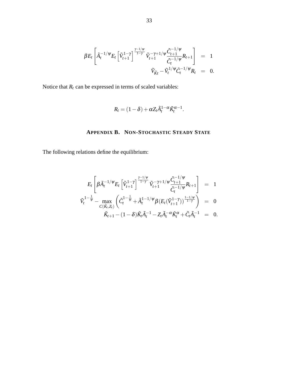$$
\beta E_t \left[ \tilde{A}_t^{-1/\psi} E_t \left[ \tilde{V}_{t+1}^{1-\gamma} \right] \frac{\tilde{V}_{t+1}^{-1/\psi}}{\tilde{V}_{t+1}} \tilde{V}_{t+1}^{-\gamma+1/\psi} \frac{\tilde{C}_{t+1}^{-1/\psi}}{\tilde{C}_t^{-1/\psi}} R_{t+1} \right] = 1
$$
  

$$
\tilde{V}_{\tilde{K}t} - \tilde{V}_t^{1/\psi} \tilde{C}_t^{-1/\psi} R_t = 0.
$$

Notice that  $R_t$  can be expressed in terms of scaled variables:

$$
R_t = (1 - \delta) + \alpha Z_t \tilde{A}_t^{1-\alpha} \tilde{K}_t^{\alpha-1}.
$$

# **APPENDIX B. NON-STOCHASTIC STEADY STATE**

<span id="page-33-0"></span>The following relations define the equilibrium:

$$
E_{t}\left[\beta \tilde{A}_{t}^{-1/\psi} E_{t}\left[\tilde{V}_{t+1}^{1-\gamma}\right]^{\frac{\gamma-1/\psi}{1-\gamma}} \tilde{V}_{t+1}^{-\gamma+1/\psi} \frac{\tilde{C}_{t+1}^{-1/\psi}}{\tilde{C}_{t}^{-1/\psi}} R_{t+1}\right] = 1
$$
  

$$
\tilde{V}_{t}^{1-\frac{1}{\psi}} - \max_{C(\tilde{K}_{t},Z_{t})} \left(\tilde{C}_{t}^{1-\frac{1}{\psi}} + \tilde{A}_{t}^{1-1/\psi} \beta \left(E_{t}(\tilde{V}_{t+1}^{1-\gamma})\right)^{\frac{1-1/\psi}{1-\gamma}}\right) = 0
$$
  

$$
\tilde{K}_{t+1} - (1-\delta) \tilde{K}_{t} \tilde{A}_{t}^{-1} - Z_{t} \tilde{A}_{t}^{-\alpha} \tilde{K}_{t}^{\alpha} + \tilde{C}_{t} \tilde{A}_{t}^{-1} = 0.
$$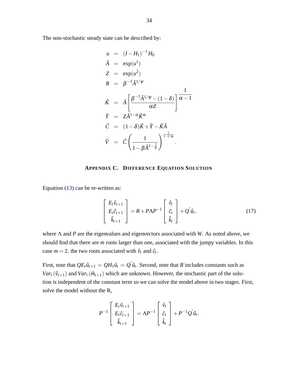The non-stochastic steady state can be described by:

$$
u = (I - H_1)^{-1} H_0
$$
  
\n
$$
\tilde{A} = \exp(u^1)
$$
  
\n
$$
Z = \exp(u^2)
$$
  
\n
$$
R = \beta^{-1} \tilde{A}^{1/\psi}
$$
  
\n
$$
\tilde{K} = \tilde{A} \left[ \frac{\beta^{-1} \tilde{A}^{1/\psi} - (1 - \delta)}{\alpha Z} \right] \frac{1}{\alpha - 1}
$$
  
\n
$$
\tilde{Y} = Z \tilde{A}^{1 - \alpha} \tilde{K}^{\alpha}
$$
  
\n
$$
\tilde{C} = (1 - \delta) \tilde{K} + \tilde{Y} - \tilde{K} \tilde{A}
$$
  
\n
$$
\tilde{V} = \tilde{C} \left( \frac{1}{1 - \beta \tilde{A}^{1 - \frac{1}{\psi}}} \right)^{\frac{1}{1 - 1/\psi}}.
$$

# **APPENDIX C. DIFFERENCE EQUATION SOLUTION**

<span id="page-34-0"></span>Equation [\(13\)](#page-14-1) can be re-written as:

$$
\begin{bmatrix} E_t \hat{v}_{t+1} \\ E_t \hat{c}_{t+1} \\ \hat{k}_{t+1} \end{bmatrix} = R + P \Lambda P^{-1} \begin{bmatrix} \hat{v}_t \\ \hat{c}_t \\ \hat{k}_t \end{bmatrix} + Q' \hat{u}_t, \qquad (17)
$$

where Λ and *P* are the eigenvalues and eigenvectors associated with *W*: As noted above, we should find that there are *m* roots larger than one, associated with the jumpy variables. In this case  $m = 2$ , the two roots associated with  $\hat{v}_t$  and  $\hat{c}_t$ .

First, note that  $QE_t\hat{u}_{t+1} = QH_1\hat{u}_t = Q'\hat{u}_t$ . Second, note that *R* includes constants such as  $Var_t(\hat{v}_{t+1})$  and  $Var_t(\hat{m}_{t+1})$  which are unknown. However, the stochastic part of the solution is independent of the constant term so we can solve the model above in two stages. First, solve the model without the R,

$$
P^{-1}\left[\begin{array}{c}E_t\hat{v}_{t+1}\\E_t\hat{c}_{t+1}\\ \hat{k}_{t+1}\end{array}\right]=\Lambda P^{-1}\left[\begin{array}{c}\hat{v}_t\\ \hat{c}_t\\ \hat{k}_t\end{array}\right]+P^{-1}Q'\hat{u}_t.
$$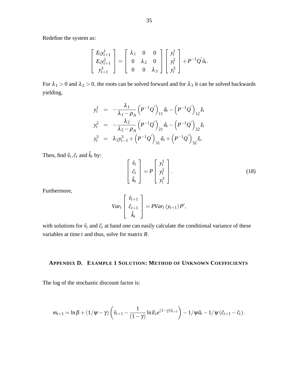Redefine the system as:

$$
\begin{bmatrix} E_t y_{t+1}^1 \\ E_t y_{t+1}^2 \\ y_{t+1}^3 \end{bmatrix} = \begin{bmatrix} \lambda_1 & 0 & 0 \\ 0 & \lambda_2 & 0 \\ 0 & 0 & \lambda_3 \end{bmatrix} \begin{bmatrix} y_t^1 \\ y_t^2 \\ y_t^3 \end{bmatrix} + P^{-1} Q' \hat{u}_t.
$$

For  $\lambda_1 > 0$  and  $\lambda_2 > 0$ , the roots can be solved forward and for  $\lambda_3$  it can be solved backwards yielding,

$$
y_t^1 = -\frac{\lambda_1}{\lambda_1 - \rho_A} (P^{-1}Q')_{11} \hat{a}_t - (P^{-1}Q')_{12} \hat{z}_t
$$
  
\n
$$
y_t^2 = -\frac{\lambda_2}{\lambda_2 - \rho_A} (P^{-1}Q')_{21} \hat{a}_t - (P^{-1}Q')_{22} \hat{z}_t
$$
  
\n
$$
y_t^3 = \lambda_2 y_{t-1}^3 + (P^{-1}Q')_{31} \hat{a}_t + (P^{-1}Q')_{32} \hat{z}_t.
$$

Then, find  $\hat{v}_t$ ,  $\hat{c}_t$  and  $\hat{k}_t$  by:

$$
\begin{bmatrix} \hat{v}_t \\ \hat{c}_t \\ \hat{k}_t \end{bmatrix} = P \begin{bmatrix} y_t^1 \\ y_t^2 \\ y_t^3 \end{bmatrix} .
$$
 (18)

Furthermore,

$$
Var_t\left[\begin{array}{c} \hat{v}_{t+1} \\ \hat{c}_{t+1} \\ \hat{k}_t \end{array}\right] = PVar_t(y_{t+1})P',
$$

with solutions for  $\hat{v}_t$  and  $\hat{c}_t$  at hand one can easily calculate the conditional variance of these variables at time *t* and thus, solve for matrix *R*:

# <span id="page-35-0"></span>**APPENDIX D. EXAMPLE 1 SOLUTION: METHOD OF UNKNOWN COEFFICIENTS**

The log of the stochastic discount factor is:

$$
m_{t+1} = \ln \beta + (1/\psi - \gamma) \left( \tilde{v}_{t+1} - \frac{1}{(1-\gamma)} \ln E_t e^{(1-\gamma)\tilde{v}_{t+1}} \right) - 1/\psi \tilde{a}_t - 1/\psi (\tilde{c}_{t+1} - \tilde{c}_t).
$$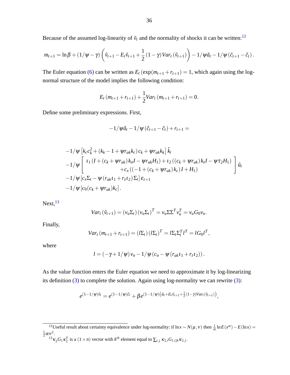Because of the assumed log-linearity of  $\tilde{v}_t$  and the normality of shocks it can be written:<sup>[12](#page-36-0)</sup>

$$
m_{t+1} = \ln \beta + (1/\psi - \gamma) \left( \tilde{v}_{t+1} - E_t \tilde{v}_{t+1} + \frac{1}{2} (1-\gamma) \text{Var}_t (\tilde{v}_{t+1}) \right) - 1/\psi \tilde{a}_t - 1/\psi (\tilde{c}_{t+1} - \tilde{c}_t).
$$

The Euler equation [\(6\)](#page-10-2) can be written as  $E_t$  ( $\exp(m_{t+1} + r_{t+1}) = 1$ , which again using the lognormal structure of the model implies the following condition:

$$
E_t(m_{t+1}+r_{t+1})+\frac{1}{2}Var_t(m_{t+1}+r_{t+1})=0.
$$

Define some preliminary expressions. First,

$$
-1/\psi \hat{a}_t - 1/\psi (\hat{c}_{t+1} - \hat{c}_t) + r_{t+1} =
$$

$$
-1/\psi \left[ k_c c_k^2 + (k_k - 1 + \psi r_{ak} k_c) c_k + \psi r_{ak} k_k \right] \hat{k}_t -1/\psi \left[ l_1 (I + (c_k + \psi r_{ak}) k_a I - \psi r_{ak} H_1) + l_2 ((c_k + \psi r_{ak}) k_z I - \psi \tau_2 H_1) + c_x ((-1 + (c_k + \psi r_{ak}) k_c) I + H_1) \right] \hat{u}_t -1/\psi [c_x \Sigma_t - \psi (r_{ak} l_1 + r_z l_2) \Sigma_t] \epsilon_{t+1} -1/\psi [c_0 (c_k + \psi r_{ak}) k_c].
$$

 $Next, <sup>13</sup>$  $Next, <sup>13</sup>$  $Next, <sup>13</sup>$ 

$$
Var_t(\hat{v}_{t+1}) = (v_u \Sigma_t) (v_u \Sigma_t)^T = v_u \Sigma \Sigma^T v_u^T = v_u G_0 v_u.
$$

Finally,

$$
Var_t (m_{t+1} + r_{t+1}) = (l\Sigma_t) (l\Sigma_t)^T = l\Sigma_t \Sigma_t^T l^T = lG_0 l^T,
$$

where

$$
l=(-\gamma+1/\psi)v_u-1/\psi(c_u-\psi(r_{ak}t_1+r_zt_2)).
$$

As the value function enters the Euler equation we need to approximate it by log-linearizing its definition [\(3\)](#page-10-0) to complete the solution. Again using log-normality we can rewrite [\(3\):](#page-10-0)

$$
e^{(1-1/\psi)\tilde{v}_t} = e^{(1-1/\psi)\tilde{c}_t} + \beta e^{(1-1/\psi)(\tilde{a}_t + E_t \tilde{v}_{t+1} + \frac{1}{2}(1-\gamma)Var_t(\tilde{v}_{t+1}))},
$$

<span id="page-36-0"></span><sup>&</sup>lt;sup>12</sup>Useful result about certainty equivalence under log-normality: if  $\ln x \sim N(\mu, v)$  then  $\frac{1}{\alpha} \ln E(x^{\alpha}) - E(\ln x) =$  $rac{1}{2}\alpha v^2$ .

<span id="page-36-1"></span> $^{13}$  $\kappa_2 G_1 \kappa_2^T$  is a  $(1 \times n)$  vector with  $k^{th}$  element equal to  $\sum_{i,j} \kappa_{2,i} G_{1,ijk} \kappa_{2,j}$ .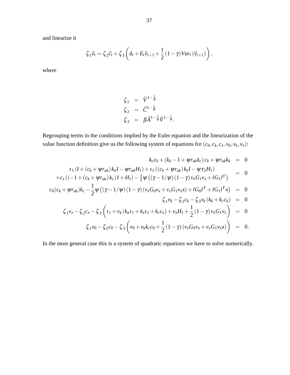and linearize it

$$
\zeta_1 \hat{v}_t = \zeta_2 \hat{c}_t + \zeta_3 \left( \hat{a}_t + E_t \hat{v}_{t+1} + \frac{1}{2} (1 - \gamma) Var_t \left( \hat{v}_{t+1} \right) \right),
$$

where

$$
\begin{array}{rcl}\n\zeta_1 &=& \tilde{V}^{1-\frac{1}{\psi}} \\
\zeta_2 &=& \tilde{C}^{1-\frac{1}{\psi}} \\
\zeta_3 &=& \beta \tilde{A}^{1-\frac{1}{\psi}} \tilde{V}^{1-\frac{1}{\psi}}.\n\end{array}
$$

Regrouping terms in the conditions implied by the Euler equation and the linearization of the value function definition give us the following system of equations for  $(c_0, c_k, c_x, v_0, v_k, v_x)$ :

$$
k_{c}c_{k} + (k_{k} - 1 + \psi r_{ak}k_{c}) c_{k} + \psi r_{ak}k_{k} = 0
$$
  
\n
$$
t_{1}(I + (c_{k} + \psi r_{ak})k_{a}I - \psi r_{ak}H_{1}) + t_{2}((c_{k} + \psi r_{ak})k_{z}I - \psi \tau_{2}H_{1}) = 0
$$
  
\n
$$
+c_{x}((-1 + (c_{k} + \psi r_{ak})k_{c})I + H_{1}) - \frac{1}{2}\psi ((\gamma - 1/\psi)(1 - \gamma)v_{x}G_{1}v_{x} + lG_{1}I^{T}) = 0
$$
  
\n
$$
c_{0}(c_{k} + \psi r_{ak})k_{c} - \frac{1}{2}\psi ((\gamma - 1/\psi)(1 - \gamma)(v_{x}G_{0}v_{x} + v_{x}G_{1}v_{x}x) + lG_{0}I^{T} + lG_{1}I^{T}x) = 0
$$
  
\n
$$
\zeta_{1}v_{k} - \zeta_{2}c_{k} - \zeta_{3}v_{k}(k_{k} + k_{c}c_{k}) = 0
$$
  
\n
$$
\zeta_{1}v_{x} - \zeta_{2}c_{x} - \zeta_{3}\left(t_{1} + v_{k}(k_{a}t_{1} + k_{z}t_{2} + k_{c}c_{x}) + v_{x}H_{1} + \frac{1}{2}(1 - \gamma)v_{x}G_{1}v_{x}\right) = 0
$$
  
\n
$$
\zeta_{1}v_{0} - \zeta_{2}c_{0} - \zeta_{3}\left(v_{0} + v_{k}k_{c}c_{0} + \frac{1}{2}(1 - \gamma)(v_{x}G_{0}v_{x} + v_{x}G_{1}v_{x}x)\right) = 0.
$$

In the most general case this is a system of quadratic equations we have to solve numerically.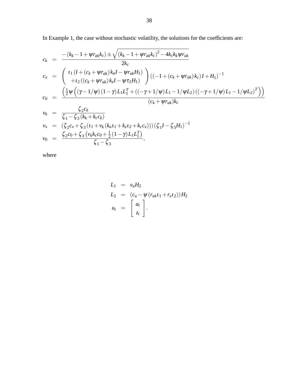In Example 1, the case without stochastic volatility, the solutions for the coefficients are:

$$
c_{k} = \frac{-(k_{k}-1+\psi r_{ak}k_{c}) \pm \sqrt{(k_{k}-1+\psi r_{ak}k_{c})^{2}-4k_{c}k_{k}\psi r_{ak}}}{2k_{c}}
$$
  
\n
$$
c_{x} = \begin{pmatrix} \n\iota_{1}(I+(c_{k}+\psi r_{ak})k_{a}I-\psi r_{ak}H_{1}) \\ \n+ \iota_{2}((c_{k}+\psi r_{ak})k_{z}I-\psi \tau_{2}H_{1}) \n\end{pmatrix} ((-1+(c_{k}+\psi r_{ak})k_{c})I+H_{1})^{-1}
$$
  
\n
$$
c_{0} = \frac{\left(\frac{1}{2}\psi\left((\gamma-1/\psi)(1-\gamma)L_{1}L_{1}^{T}+((-\gamma+1/\psi)L_{1}-1/\psi L_{2})((-\gamma+1/\psi)L_{1}-1/\psi L_{2})^{T}\right)\right)}{(c_{k}+\psi r_{ak})k_{c}}
$$
  
\n
$$
v_{k} = \frac{\zeta_{2}c_{k}}{\zeta_{1}-\zeta_{3}(k_{k}+k_{c}c_{k})}
$$

$$
v_x = (\zeta_2 c_x + \zeta_3 (t_1 + v_k (k_a t_1 + k_z t_2 + k_c c_x))) (\zeta_1 I - \zeta_3 H_1)^{-1}
$$
  
\n
$$
v_0 = \frac{\zeta_2 c_0 + \zeta_3 (v_k k_c c_0 + \frac{1}{2} (1 - \gamma) L_1 L_1^T)}{\zeta_1 - \zeta_3},
$$

where

$$
L_1 = v_u H_2
$$
  
\n
$$
L_2 = (c_u - \psi (r_{ak} t_1 + r_z t_2)) H_2
$$
  
\n
$$
u_t = \begin{bmatrix} a_t \\ z_t \end{bmatrix}.
$$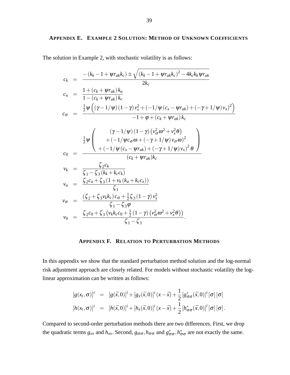# <span id="page-39-0"></span>**APPENDIX E. EXAMPLE 2 SOLUTION: METHOD OF UNKNOWN COEFFICIENTS**

The solution in Example 2, with stochastic volatility is as follows:

$$
c_{k} = \frac{-(k_{k}-1+\psi r_{ak}k_{c}) \pm \sqrt{(k_{k}-1+\psi r_{ak}k_{c})^{2}-4k_{c}k_{k}\psi r_{ak}}}{2k_{c}}
$$
  
\n
$$
c_{u} = \frac{1+(c_{k}+\psi r_{ak})k_{a}}{1-(c_{k}+\psi r_{ak})k_{c}}
$$
  
\n
$$
c_{\sigma} = \frac{\frac{1}{2}\psi((\gamma-1/\psi)(1-\gamma)v_{x}^{2}+(-1/\psi(c_{x}-\psi r_{ak})+(-\gamma+1/\psi)v_{x})^{2})}{-1+\phi+(c_{k}+\psi r_{ak})k_{c}}
$$
  
\n
$$
\frac{1}{2}\psi\left(\frac{(\gamma-1/\psi)(1-\gamma)(v_{\sigma}^{2}\omega^{2}+v_{x}^{2}\theta)}{+(-1/\psi(c_{x}-\psi r_{ak})+(-\gamma+1/\psi)v_{\sigma}\omega)^{2}}\right)
$$
  
\n
$$
c_{0} = \frac{\zeta_{2}c_{k}}{(-1/\psi(c_{x}-\psi r_{ak})+(-\gamma+1/\psi)v_{x})^{2}\theta}
$$
  
\n
$$
v_{k} = \frac{\zeta_{2}c_{k}}{\zeta_{1}-\zeta_{3}(k_{k}+k_{c}c_{k})}
$$
  
\n
$$
v_{u} = \frac{\zeta_{2}c_{u}+\zeta_{3}(1+v_{k}(k_{a}+k_{c}c_{x}))}{\zeta_{1}}
$$
  
\n
$$
v_{\sigma} = \frac{(\zeta_{2}+\zeta_{3}v_{k}k_{c})c_{\sigma}+\frac{1}{2}\zeta_{3}(1-\gamma)v_{x}^{2}}{\zeta_{1}-\zeta_{3}\phi}
$$
  
\n
$$
v_{0} = \frac{\zeta_{2}c_{0}+\zeta_{3}(v_{k}k_{c}c_{0}+\frac{1}{2}(1-\gamma)(v_{\sigma}^{2}\omega^{2}+v_{x}^{2}\theta))}{\zeta_{1}-\zeta_{3}}
$$

# **APPENDIX F. RELATION TO PERTURBATION METHODS**

<span id="page-39-1"></span>In this appendix we show that the standard perturbation method solution and the log-normal risk adjustment approach are closely related. For models without stochastic volatility the loglinear approximation can be written as follows:

$$
[g(x_t, \sigma)]^i = [g(\bar{x}, 0)]^i + [g_x(\bar{x}, 0)]^i (x - \bar{x}) + \frac{1}{2} [g^*_{\sigma\sigma}(\bar{x}, 0)]^i [\sigma] [\sigma]
$$
  
\n
$$
[h(x_t, \sigma)]^i = [h(\bar{x}, 0)]^i + [h_x(\bar{x}, 0)]^i (x - \bar{x}) + \frac{1}{2} [h^*_{\sigma\sigma}(\bar{x}, 0)]^i [\sigma] [\sigma].
$$

Compared to second-order perturbation methods there are two differences. First, we drop the quadratic terms  $g_{xx}$  and  $h_{xx}$ . Second,  $g_{\sigma\sigma}$ ,  $h_{\sigma\sigma}$  and  $g_{\sigma\sigma}^*$ ,  $h_{\sigma\sigma}^*$  are not exactly the same.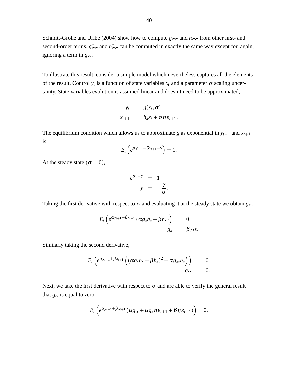Schmitt-Grohe and Uribe (2004) show how to compute  $g_{\sigma\sigma}$  and  $h_{\sigma\sigma}$  from other first- and second-order terms.  $g_{\sigma\sigma}^*$  and  $h_{\sigma\sigma}^*$  can be computed in exactly the same way except for, again, ignoring a term in  $g_{xx}$ .

To illustrate this result, consider a simple model which nevertheless captures all the elements of the result. Control  $y_t$  is a function of state variables  $x_t$  and a parameter  $\sigma$  scaling uncertainty. State variables evolution is assumed linear and doesn't need to be approximated,

$$
y_t = g(x_t, \sigma)
$$
  

$$
x_{t+1} = h_x x_t + \sigma \eta \varepsilon_{t+1}.
$$

The equilibrium condition which allows us to approximate *g* as exponential in  $y_{t+1}$  and  $x_{t+1}$ is

$$
E_t\left(e^{\alpha y_{t+1}+\beta x_{t+1}+\gamma}\right)=1.
$$

At the steady state  $(\sigma = 0)$ ,

$$
e^{\alpha y + \gamma} = 1
$$
  

$$
y = -\frac{\gamma}{\alpha}.
$$

Taking the first derivative with respect to  $x_t$  and evaluating it at the steady state we obtain  $g_x$ :

$$
E_t\left(e^{\alpha y_{t+1}+\beta x_{t+1}}\left(\alpha g_x h_x+\beta h_x\right)\right) = 0
$$
  

$$
g_x = \beta/\alpha.
$$

Similarly taking the second derivative,

$$
E_t\left(e^{\alpha y_{t+1}+\beta x_{t+1}}\left((\alpha g_x h_x+\beta h_x)^2+\alpha g_{xx}h_x\right)\right) = 0
$$
  
 
$$
g_{xx} = 0.
$$

Next, we take the first derivative with respect to  $\sigma$  and are able to verify the general result that  $g_{\sigma}$  is equal to zero:

$$
E_t\left(e^{\alpha y_{t+1}+\beta x_{t+1}}(\alpha g_{\sigma}+\alpha g_x\eta \varepsilon_{t+1}+\beta \eta \varepsilon_{t+1})\right)=0.
$$